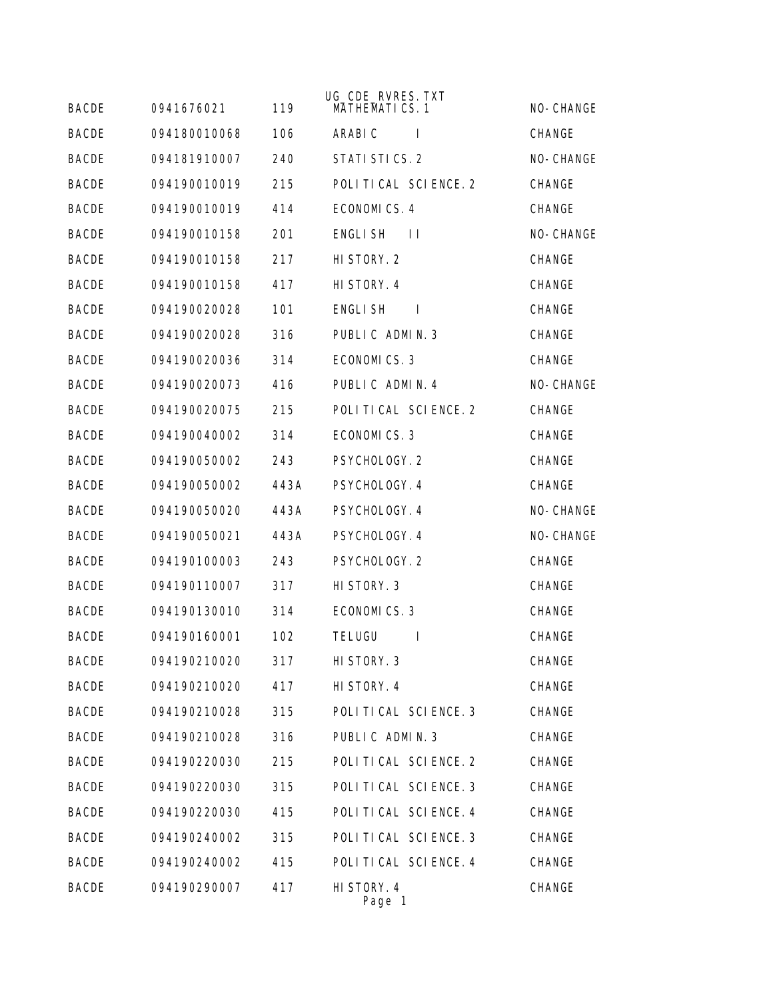| <b>BACDE</b> | 0941676021   | 119  | UG_CDE_RVRES. TXT<br><b>MATHEMATICS.1</b> | NO-CHANGE     |
|--------------|--------------|------|-------------------------------------------|---------------|
| <b>BACDE</b> | 094180010068 | 106  | ARABI C<br>$\mathbf{I}$                   | <b>CHANGE</b> |
| <b>BACDE</b> | 094181910007 | 240  | STATI STICS. 2                            | NO-CHANGE     |
| <b>BACDE</b> | 094190010019 | 215  | POLITICAL SCIENCE. 2                      | CHANGE        |
| <b>BACDE</b> | 094190010019 | 414  | ECONOMICS. 4                              | <b>CHANGE</b> |
| <b>BACDE</b> | 094190010158 | 201  | <b>ENGLISH</b><br>$\perp$                 | NO-CHANGE     |
| <b>BACDE</b> | 094190010158 | 217  | HI STORY. 2                               | CHANGE        |
| <b>BACDE</b> | 094190010158 | 417  | HI STORY. 4                               | CHANGE        |
| <b>BACDE</b> | 094190020028 | 101  | ENGLI SH<br>$\mathbf{I}$                  | CHANGE        |
| <b>BACDE</b> | 094190020028 | 316  | PUBLIC ADMIN. 3                           | CHANGE        |
| <b>BACDE</b> | 094190020036 | 314  | ECONOMICS.3                               | CHANGE        |
| <b>BACDE</b> | 094190020073 | 416  | PUBLIC ADMIN. 4                           | NO-CHANGE     |
| <b>BACDE</b> | 094190020075 | 215  | POLITICAL SCIENCE. 2                      | CHANGE        |
| <b>BACDE</b> | 094190040002 | 314  | ECONOMICS.3                               | <b>CHANGE</b> |
| <b>BACDE</b> | 094190050002 | 243  | PSYCHOLOGY. 2                             | CHANGE        |
| <b>BACDE</b> | 094190050002 | 443A | PSYCHOLOGY. 4                             | CHANGE        |
| <b>BACDE</b> | 094190050020 | 443A | PSYCHOLOGY. 4                             | NO-CHANGE     |
| <b>BACDE</b> | 094190050021 | 443A | PSYCHOLOGY. 4                             | NO-CHANGE     |
| <b>BACDE</b> | 094190100003 | 243  | PSYCHOLOGY. 2                             | CHANGE        |
| <b>BACDE</b> | 094190110007 | 317  | HI STORY. 3                               | CHANGE        |
| <b>BACDE</b> | 094190130010 | 314  | ECONOMICS.3                               | CHANGE        |
| <b>BACDE</b> | 094190160001 | 102  | <b>TELUGU</b><br><b>I</b>                 | CHANGE        |
| <b>BACDE</b> | 094190210020 | 317  | HI STORY. 3                               | CHANGE        |
| <b>BACDE</b> | 094190210020 | 417  | HI STORY. 4                               | CHANGE        |
| <b>BACDE</b> | 094190210028 | 315  | POLITICAL SCIENCE. 3                      | CHANGE        |
| <b>BACDE</b> | 094190210028 | 316  | PUBLIC ADMIN. 3                           | CHANGE        |
| <b>BACDE</b> | 094190220030 | 215  | POLITICAL SCIENCE. 2                      | CHANGE        |
| <b>BACDE</b> | 094190220030 | 315  | POLITICAL SCIENCE. 3                      | CHANGE        |
| <b>BACDE</b> | 094190220030 | 415  | POLITICAL SCIENCE. 4                      | CHANGE        |
| <b>BACDE</b> | 094190240002 | 315  | POLITICAL SCIENCE. 3                      | CHANGE        |
| <b>BACDE</b> | 094190240002 | 415  | POLITICAL SCIENCE. 4                      | CHANGE        |
| <b>BACDE</b> | 094190290007 | 417  | HI STORY. 4<br>Page 1                     | CHANGE        |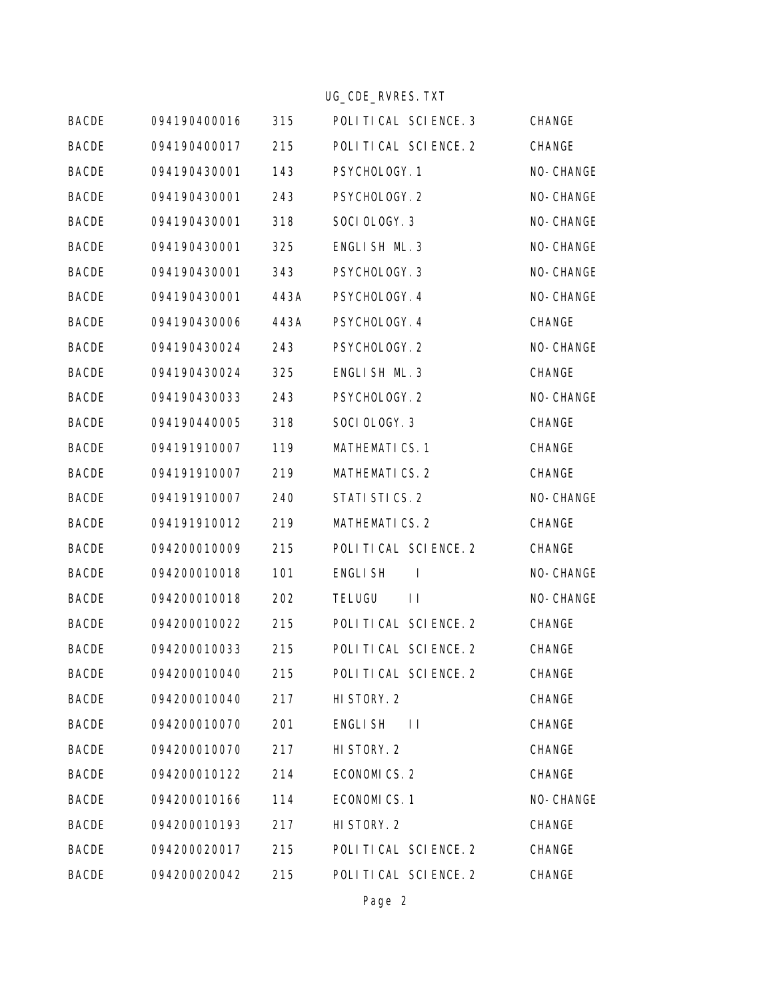|              |              |      | UG_CDE_RVRES. TXT                |           |
|--------------|--------------|------|----------------------------------|-----------|
| <b>BACDE</b> | 094190400016 | 315  | POLITICAL SCIENCE. 3             | CHANGE    |
| <b>BACDE</b> | 094190400017 | 215  | POLITICAL SCIENCE. 2             | CHANGE    |
| <b>BACDE</b> | 094190430001 | 143  | PSYCHOLOGY. 1                    | NO-CHANGE |
| <b>BACDE</b> | 094190430001 | 243  | PSYCHOLOGY. 2                    | NO-CHANGE |
| <b>BACDE</b> | 094190430001 | 318  | SOCI OLOGY. 3                    | NO-CHANGE |
| <b>BACDE</b> | 094190430001 | 325  | ENGLISH ML. 3                    | NO-CHANGE |
| <b>BACDE</b> | 094190430001 | 343  | PSYCHOLOGY. 3                    | NO-CHANGE |
| <b>BACDE</b> | 094190430001 | 443A | PSYCHOLOGY. 4                    | NO-CHANGE |
| <b>BACDE</b> | 094190430006 | 443A | PSYCHOLOGY. 4                    | CHANGE    |
| <b>BACDE</b> | 094190430024 | 243  | PSYCHOLOGY. 2                    | NO-CHANGE |
| <b>BACDE</b> | 094190430024 | 325  | ENGLISH ML. 3                    | CHANGE    |
| <b>BACDE</b> | 094190430033 | 243  | PSYCHOLOGY. 2                    | NO-CHANGE |
| <b>BACDE</b> | 094190440005 | 318  | SOCI OLOGY. 3                    | CHANGE    |
| <b>BACDE</b> | 094191910007 | 119  | <b>MATHEMATICS.1</b>             | CHANGE    |
| <b>BACDE</b> | 094191910007 | 219  | <b>MATHEMATICS. 2</b>            | CHANGE    |
| <b>BACDE</b> | 094191910007 | 240  | STATI STICS. 2                   | NO-CHANGE |
| <b>BACDE</b> | 094191910012 | 219  | <b>MATHEMATICS. 2</b>            | CHANGE    |
| <b>BACDE</b> | 094200010009 | 215  | POLITICAL SCIENCE. 2             | CHANGE    |
| <b>BACDE</b> | 094200010018 | 101  | <b>ENGLISH</b><br>$\blacksquare$ | NO-CHANGE |
| <b>BACDE</b> | 094200010018 | 202  | <b>TELUGU</b><br>$\perp$         | NO-CHANGE |
| <b>BACDE</b> | 094200010022 | 215  | POLITICAL SCIENCE. 2             | CHANGE    |
| <b>BACDE</b> | 094200010033 | 215  | POLITICAL SCIENCE. 2             | CHANGE    |
| <b>BACDE</b> | 094200010040 | 215  | POLITICAL SCIENCE. 2             | CHANGE    |
| <b>BACDE</b> | 094200010040 | 217  | HI STORY. 2                      | CHANGE    |
| <b>BACDE</b> | 094200010070 | 201  | <b>ENGLISH</b><br>$\Box$         | CHANGE    |
| <b>BACDE</b> | 094200010070 | 217  | HI STORY. 2                      | CHANGE    |
| <b>BACDE</b> | 094200010122 | 214  | ECONOMICS. 2                     | CHANGE    |
| <b>BACDE</b> | 094200010166 | 114  | ECONOMICS.1                      | NO-CHANGE |
| <b>BACDE</b> | 094200010193 | 217  | HI STORY. 2                      | CHANGE    |
| <b>BACDE</b> | 094200020017 | 215  | POLITICAL SCIENCE. 2             | CHANGE    |
| <b>BACDE</b> | 094200020042 | 215  | POLITICAL SCIENCE. 2             | CHANGE    |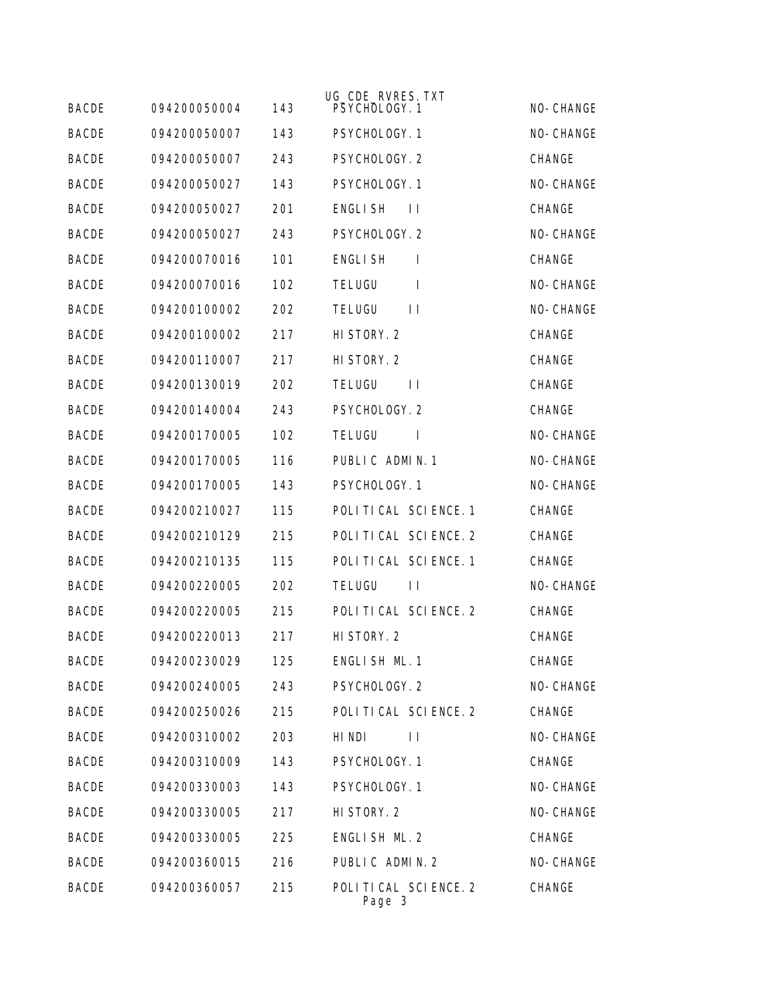|              |              |     | UG_CDE_RVRES. TXT              |           |
|--------------|--------------|-----|--------------------------------|-----------|
| <b>BACDE</b> | 094200050004 | 143 | PSYCHOLOGY. 1                  | NO-CHANGE |
| <b>BACDE</b> | 094200050007 | 143 | PSYCHOLOGY. 1                  | NO-CHANGE |
| <b>BACDE</b> | 094200050007 | 243 | PSYCHOLOGY. 2                  | CHANGE    |
| <b>BACDE</b> | 094200050027 | 143 | PSYCHOLOGY. 1                  | NO-CHANGE |
| <b>BACDE</b> | 094200050027 | 201 | <b>ENGLISH</b><br>$\perp$      | CHANGE    |
| <b>BACDE</b> | 094200050027 | 243 | PSYCHOLOGY. 2                  | NO-CHANGE |
| <b>BACDE</b> | 094200070016 | 101 | <b>ENGLISH</b><br>$\mathbf{I}$ | CHANGE    |
| <b>BACDE</b> | 094200070016 | 102 | TELUGU<br>$\mathbf{I}$         | NO-CHANGE |
| <b>BACDE</b> | 094200100002 | 202 | <b>TELUGU</b><br>$\perp$       | NO-CHANGE |
| <b>BACDE</b> | 094200100002 | 217 | HI STORY. 2                    | CHANGE    |
| <b>BACDE</b> | 094200110007 | 217 | HI STORY. 2                    | CHANGE    |
| <b>BACDE</b> | 094200130019 | 202 | <b>TELUGU</b><br>$\perp$       | CHANGE    |
| <b>BACDE</b> | 094200140004 | 243 | PSYCHOLOGY. 2                  | CHANGE    |
| <b>BACDE</b> | 094200170005 | 102 | <b>TELUGU</b><br>$\mathbf{I}$  | NO-CHANGE |
| <b>BACDE</b> | 094200170005 | 116 | PUBLIC ADMIN. 1                | NO-CHANGE |
| <b>BACDE</b> | 094200170005 | 143 | PSYCHOLOGY. 1                  | NO-CHANGE |
| <b>BACDE</b> | 094200210027 | 115 | POLITICAL SCIENCE. 1           | CHANGE    |
| <b>BACDE</b> | 094200210129 | 215 | POLITICAL SCIENCE. 2           | CHANGE    |
| <b>BACDE</b> | 094200210135 | 115 | POLITICAL SCIENCE. 1           | CHANGE    |
| <b>BACDE</b> | 094200220005 | 202 | <b>TELUGU</b><br>$\perp$       | NO-CHANGE |
| <b>BACDE</b> | 094200220005 | 215 | POLITICAL SCIENCE. 2           | CHANGE    |
| <b>BACDE</b> | 094200220013 | 217 | HI STORY. 2                    | CHANGE    |
| <b>BACDE</b> | 094200230029 | 125 | ENGLISH ML. 1                  | CHANGE    |
| <b>BACDE</b> | 094200240005 | 243 | PSYCHOLOGY. 2                  | NO-CHANGE |
| <b>BACDE</b> | 094200250026 | 215 | POLITICAL SCIENCE. 2           | CHANGE    |
| <b>BACDE</b> | 094200310002 | 203 | HI NDI<br>$\mathsf{L}$         | NO-CHANGE |
| <b>BACDE</b> | 094200310009 | 143 | PSYCHOLOGY. 1                  | CHANGE    |
| <b>BACDE</b> | 094200330003 | 143 | PSYCHOLOGY. 1                  | NO-CHANGE |
| <b>BACDE</b> | 094200330005 | 217 | HI STORY. 2                    | NO-CHANGE |
| <b>BACDE</b> | 094200330005 | 225 | ENGLISH ML. 2                  | CHANGE    |
| <b>BACDE</b> | 094200360015 | 216 | PUBLIC ADMIN. 2                | NO-CHANGE |
| <b>BACDE</b> | 094200360057 | 215 | POLITICAL SCIENCE. 2<br>Page 3 | CHANGE    |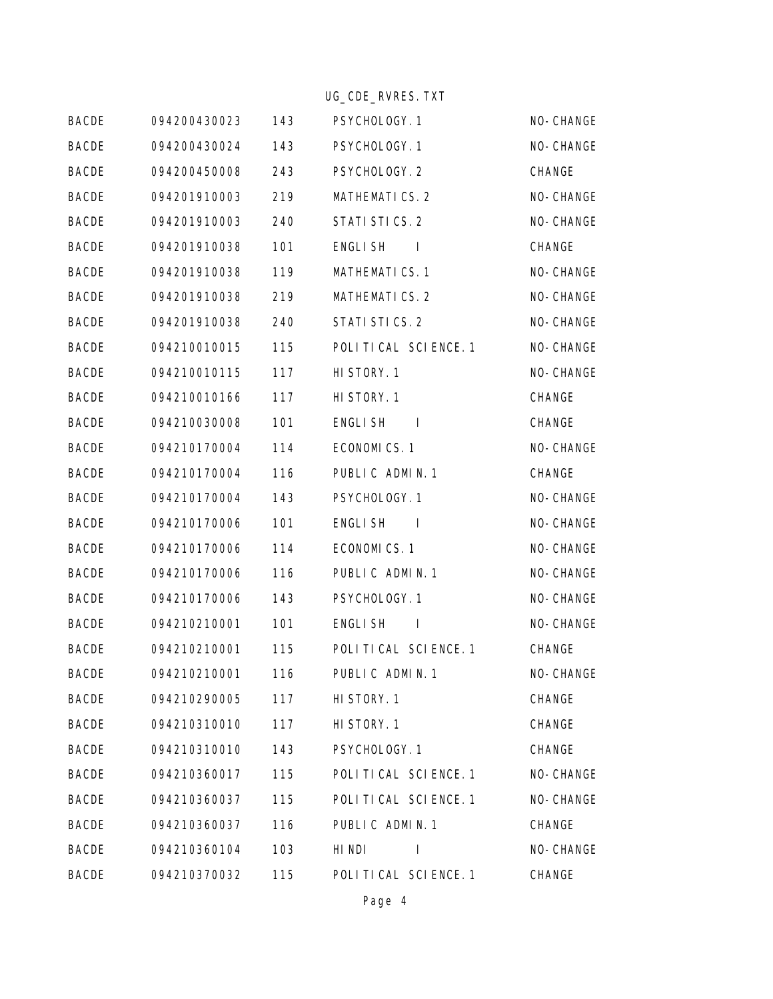|              |              |     | UG_CDE_RVRES. TXT                |           |
|--------------|--------------|-----|----------------------------------|-----------|
| <b>BACDE</b> | 094200430023 | 143 | PSYCHOLOGY. 1                    | NO-CHANGE |
| <b>BACDE</b> | 094200430024 | 143 | PSYCHOLOGY. 1                    | NO-CHANGE |
| <b>BACDE</b> | 094200450008 | 243 | PSYCHOLOGY. 2                    | CHANGE    |
| <b>BACDE</b> | 094201910003 | 219 | <b>MATHEMATICS. 2</b>            | NO-CHANGE |
| <b>BACDE</b> | 094201910003 | 240 | STATI STICS. 2                   | NO-CHANGE |
| <b>BACDE</b> | 094201910038 | 101 | <b>ENGLISH</b><br>$\mathbf{I}$   | CHANGE    |
| <b>BACDE</b> | 094201910038 | 119 | <b>MATHEMATICS.1</b>             | NO-CHANGE |
| <b>BACDE</b> | 094201910038 | 219 | <b>MATHEMATICS. 2</b>            | NO-CHANGE |
| <b>BACDE</b> | 094201910038 | 240 | STATI STICS. 2                   | NO-CHANGE |
| <b>BACDE</b> | 094210010015 | 115 | POLITICAL SCIENCE. 1             | NO-CHANGE |
| <b>BACDE</b> | 094210010115 | 117 | HI STORY. 1                      | NO-CHANGE |
| <b>BACDE</b> | 094210010166 | 117 | HI STORY. 1                      | CHANGE    |
| <b>BACDE</b> | 094210030008 | 101 | <b>ENGLISH</b><br>$\mathbf{I}$   | CHANGE    |
| <b>BACDE</b> | 094210170004 | 114 | ECONOMICS.1                      | NO-CHANGE |
| <b>BACDE</b> | 094210170004 | 116 | PUBLIC ADMIN. 1                  | CHANGE    |
| <b>BACDE</b> | 094210170004 | 143 | PSYCHOLOGY. 1                    | NO-CHANGE |
| <b>BACDE</b> | 094210170006 | 101 | <b>ENGLISH</b><br>$\blacksquare$ | NO-CHANGE |
| <b>BACDE</b> | 094210170006 | 114 | ECONOMICS.1                      | NO-CHANGE |
| <b>BACDE</b> | 094210170006 | 116 | PUBLIC ADMIN. 1                  | NO-CHANGE |
| <b>BACDE</b> | 094210170006 | 143 | PSYCHOLOGY. 1                    | NO-CHANGE |
| <b>BACDE</b> | 094210210001 | 101 | <b>ENGLISH</b><br>$\mathbf{I}$   | NO-CHANGE |
| <b>BACDE</b> | 094210210001 | 115 | POLITICAL SCIENCE. 1             | CHANGE    |
| <b>BACDE</b> | 094210210001 | 116 | PUBLIC ADMIN. 1                  | NO-CHANGE |
| <b>BACDE</b> | 094210290005 | 117 | HI STORY. 1                      | CHANGE    |
| <b>BACDE</b> | 094210310010 | 117 | HI STORY. 1                      | CHANGE    |
| <b>BACDE</b> | 094210310010 | 143 | PSYCHOLOGY. 1                    | CHANGE    |
| <b>BACDE</b> | 094210360017 | 115 | POLITICAL SCIENCE. 1             | NO-CHANGE |
| <b>BACDE</b> | 094210360037 | 115 | POLITICAL SCIENCE. 1             | NO-CHANGE |
| <b>BACDE</b> | 094210360037 | 116 | PUBLIC ADMIN. 1                  | CHANGE    |
| <b>BACDE</b> | 094210360104 | 103 | HI NDI<br>$\mathbf{I}$           | NO-CHANGE |
| <b>BACDE</b> | 094210370032 | 115 | POLITICAL SCIENCE. 1             | CHANGE    |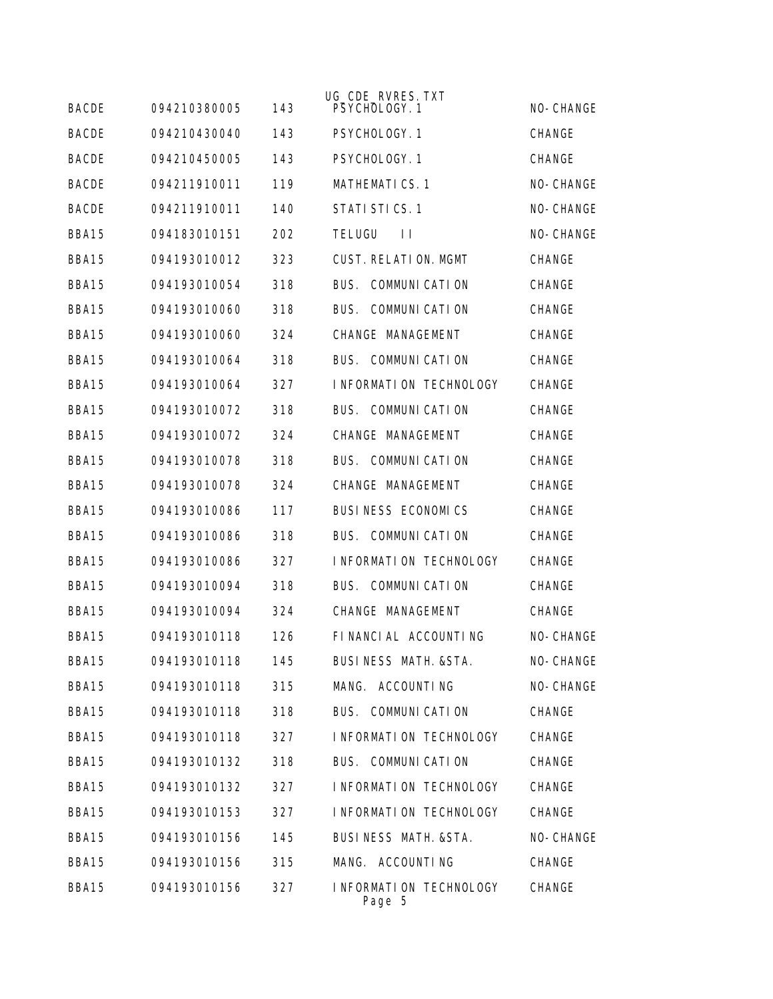| <b>BACDE</b> | 094210380005 | 143 | UG_CDE_RVRES. TXT<br>PSYCHOLOGY. 1 | NO-CHANGE     |
|--------------|--------------|-----|------------------------------------|---------------|
| <b>BACDE</b> | 094210430040 |     |                                    |               |
|              |              | 143 | PSYCHOLOGY. 1                      | <b>CHANGE</b> |
| <b>BACDE</b> | 094210450005 | 143 | PSYCHOLOGY, 1                      | CHANGE        |
| <b>BACDE</b> | 094211910011 | 119 | <b>MATHEMATICS.1</b>               | NO-CHANGE     |
| <b>BACDE</b> | 094211910011 | 140 | STATI STICS. 1                     | NO-CHANGE     |
| BBA15        | 094183010151 | 202 | <b>TELUGU</b><br>$\perp$           | NO-CHANGE     |
| BBA15        | 094193010012 | 323 | <b>CUST. RELATION. MGMT</b>        | CHANGE        |
| BBA15        | 094193010054 | 318 | COMMUNI CATI ON<br>BUS.            | <b>CHANGE</b> |
| BBA15        | 094193010060 | 318 | COMMUNI CATI ON<br>BUS.            | <b>CHANGE</b> |
| BBA15        | 094193010060 | 324 | CHANGE MANAGEMENT                  | <b>CHANGE</b> |
| BBA15        | 094193010064 | 318 | BUS. COMMUNICATION                 | CHANGE        |
| BBA15        | 094193010064 | 327 | INFORMATION TECHNOLOGY             | <b>CHANGE</b> |
| BBA15        | 094193010072 | 318 | BUS. COMMUNICATION                 | <b>CHANGE</b> |
| BBA15        | 094193010072 | 324 | CHANGE MANAGEMENT                  | <b>CHANGE</b> |
| BBA15        | 094193010078 | 318 | BUS.<br>COMMUNI CATI ON            | CHANGE        |
| BBA15        | 094193010078 | 324 | CHANGE MANAGEMENT                  | CHANGE        |
| BBA15        | 094193010086 | 117 | BUSINESS ECONOMICS                 | CHANGE        |
| BBA15        | 094193010086 | 318 | COMMUNI CATI ON<br>BUS.            | <b>CHANGE</b> |
| BBA15        | 094193010086 | 327 | INFORMATION TECHNOLOGY             | <b>CHANGE</b> |
| BBA15        | 094193010094 | 318 | <b>COMMUNI CATI ON</b><br>BUS.     | <b>CHANGE</b> |
| BBA15        | 094193010094 | 324 | CHANGE MANAGEMENT                  | CHANGE        |
| BBA15        | 094193010118 | 126 | FINANCIAL ACCOUNTING               | NO-CHANGE     |
| BBA15        | 094193010118 | 145 | BUSINESS MATH.&STA.                | NO-CHANGE     |
| BBA15        | 094193010118 | 315 | MANG. ACCOUNTING                   | NO-CHANGE     |
| BBA15        | 094193010118 | 318 | BUS. COMMUNICATION                 | CHANGE        |
| BBA15        | 094193010118 | 327 | INFORMATION TECHNOLOGY             | CHANGE        |
| BBA15        | 094193010132 | 318 | BUS. COMMUNICATION                 | CHANGE        |
| BBA15        | 094193010132 | 327 | I NFORMATION TECHNOLOGY            | CHANGE        |
| BBA15        | 094193010153 | 327 | INFORMATION TECHNOLOGY             | CHANGE        |
| BBA15        | 094193010156 | 145 | BUSINESS MATH. & STA.              | NO-CHANGE     |
| BBA15        | 094193010156 | 315 | MANG. ACCOUNTING                   | CHANGE        |
| BBA15        | 094193010156 | 327 | INFORMATION TECHNOLOGY<br>Page 5   | CHANGE        |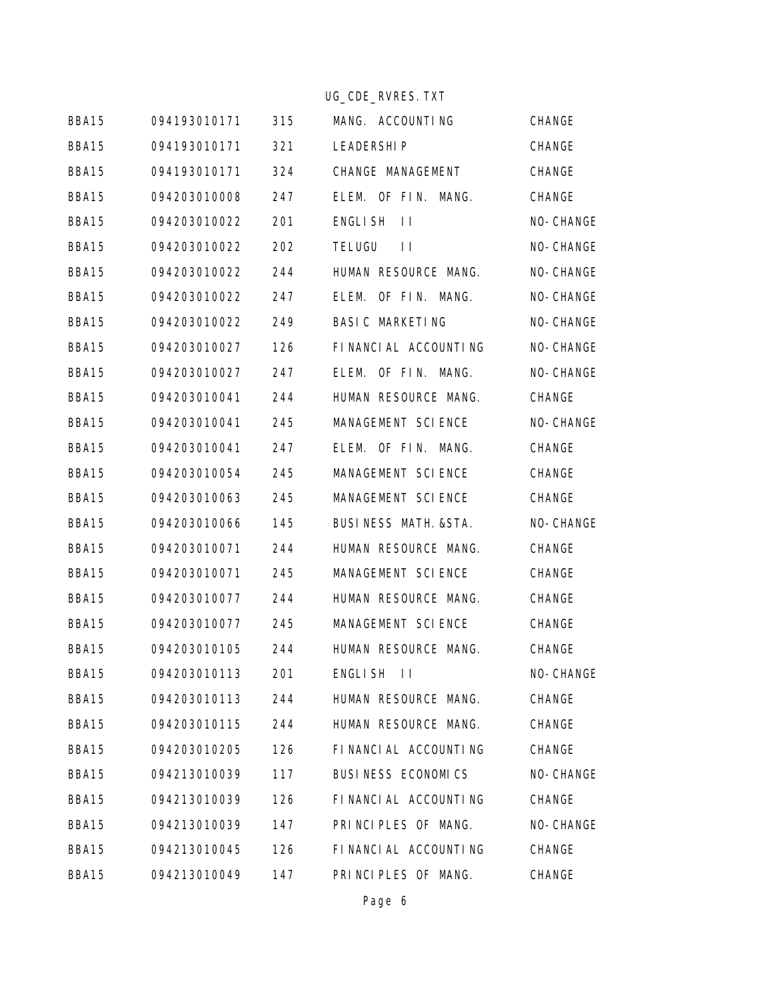|       |              |     | UG_CDE_RVRES. TXT         |           |
|-------|--------------|-----|---------------------------|-----------|
| BBA15 | 094193010171 | 315 | MANG. ACCOUNTING          | CHANGE    |
| BBA15 | 094193010171 | 321 | <b>LEADERSHIP</b>         | CHANGE    |
| BBA15 | 094193010171 | 324 | CHANGE MANAGEMENT         | CHANGE    |
| BBA15 | 094203010008 | 247 | ELEM. OF FIN. MANG.       | CHANGE    |
| BBA15 | 094203010022 | 201 | <b>ENGLISH</b><br>$\perp$ | NO-CHANGE |
| BBA15 | 094203010022 | 202 | TELUGU<br>$\perp$         | NO-CHANGE |
| BBA15 | 094203010022 | 244 | HUMAN RESOURCE MANG.      | NO-CHANGE |
| BBA15 | 094203010022 | 247 | OF FIN. MANG.<br>ELEM.    | NO-CHANGE |
| BBA15 | 094203010022 | 249 | <b>BASIC MARKETING</b>    | NO-CHANGE |
| BBA15 | 094203010027 | 126 | FINANCIAL ACCOUNTING      | NO-CHANGE |
| BBA15 | 094203010027 | 247 | ELEM. OF FIN. MANG.       | NO-CHANGE |
| BBA15 | 094203010041 | 244 | HUMAN RESOURCE MANG.      | CHANGE    |
| BBA15 | 094203010041 | 245 | MANAGEMENT SCIENCE        | NO-CHANGE |
| BBA15 | 094203010041 | 247 | ELEM. OF FIN. MANG.       | CHANGE    |
| BBA15 | 094203010054 | 245 | MANAGEMENT SCIENCE        | CHANGE    |
| BBA15 | 094203010063 | 245 | MANAGEMENT SCIENCE        | CHANGE    |
| BBA15 | 094203010066 | 145 | BUSINESS MATH. & STA.     | NO-CHANGE |
| BBA15 | 094203010071 | 244 | HUMAN RESOURCE MANG.      | CHANGE    |
| BBA15 | 094203010071 | 245 | MANAGEMENT SCIENCE        | CHANGE    |
| BBA15 | 094203010077 | 244 | HUMAN RESOURCE MANG.      | CHANGE    |
| BBA15 | 094203010077 | 245 | MANAGEMENT SCIENCE        | CHANGE    |
| BBA15 | 094203010105 | 244 | HUMAN RESOURCE MANG.      | CHANGE    |
| BBA15 | 094203010113 | 201 | <b>ENGLISH</b><br>$\perp$ | NO-CHANGE |
| BBA15 | 094203010113 | 244 | HUMAN RESOURCE MANG.      | CHANGE    |
| BBA15 | 094203010115 | 244 | HUMAN RESOURCE MANG.      | CHANGE    |
| BBA15 | 094203010205 | 126 | FINANCIAL ACCOUNTING      | CHANGE    |
| BBA15 | 094213010039 | 117 | BUSINESS ECONOMICS        | NO-CHANGE |
| BBA15 | 094213010039 | 126 | FINANCIAL ACCOUNTING      | CHANGE    |
| BBA15 | 094213010039 | 147 | PRINCIPLES OF MANG.       | NO-CHANGE |
| BBA15 | 094213010045 | 126 | FINANCIAL ACCOUNTING      | CHANGE    |
| BBA15 | 094213010049 | 147 | PRINCIPLES OF MANG.       | CHANGE    |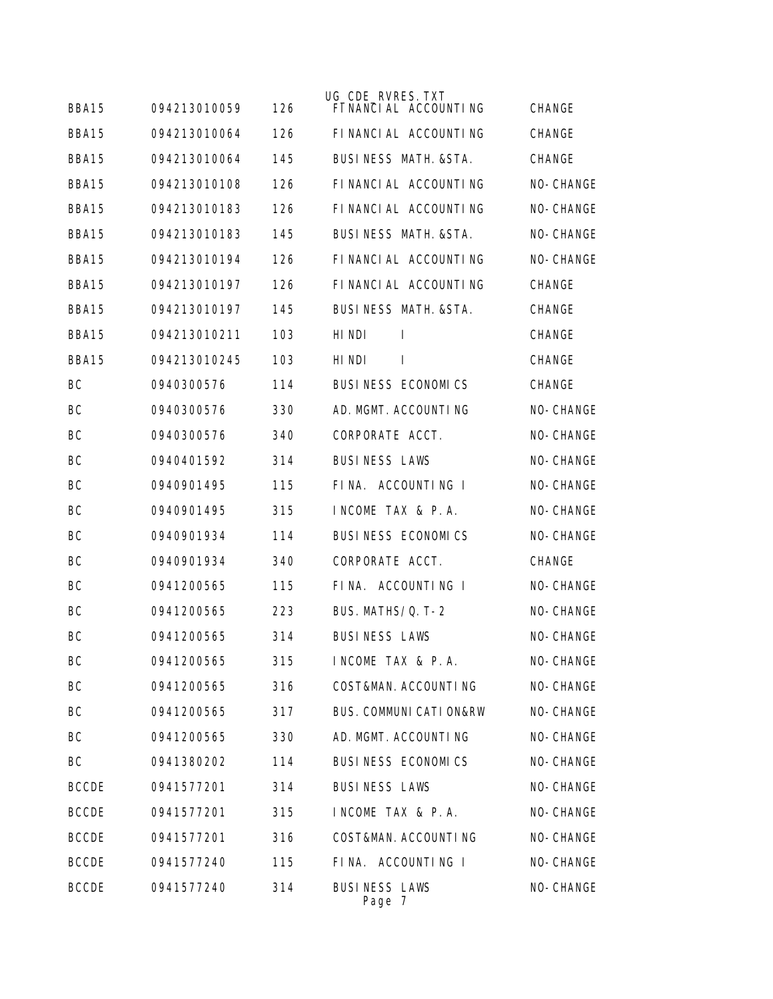|              |              |     | UG_CDE_RVRES. TXT                |               |
|--------------|--------------|-----|----------------------------------|---------------|
| BBA15        | 094213010059 | 126 | FINANCIAL ACCOUNTING             | CHANGE        |
| BBA15        | 094213010064 | 126 | FINANCIAL ACCOUNTING             | CHANGE        |
| BBA15        | 094213010064 | 145 | <b>BUSINESS MATH. &amp; STA.</b> | <b>CHANGE</b> |
| BBA15        | 094213010108 | 126 | FINANCIAL ACCOUNTING             | NO-CHANGE     |
| BBA15        | 094213010183 | 126 | FINANCIAL ACCOUNTING             | NO-CHANGE     |
| BBA15        | 094213010183 | 145 | BUSINESS MATH. & STA.            | NO-CHANGE     |
| BBA15        | 094213010194 | 126 | FINANCIAL ACCOUNTING             | NO-CHANGE     |
| BBA15        | 094213010197 | 126 | FINANCIAL ACCOUNTING             | CHANGE        |
| BBA15        | 094213010197 | 145 | BUSINESS MATH. & STA.            | CHANGE        |
| BBA15        | 094213010211 | 103 | HI NDI<br>$\mathbf{I}$           | CHANGE        |
| BBA15        | 094213010245 | 103 | HI NDI<br>$\mathbf{I}$           | CHANGE        |
| BC           | 0940300576   | 114 | BUSINESS ECONOMICS               | CHANGE        |
| BC           | 0940300576   | 330 | AD. MGMT. ACCOUNTING             | NO-CHANGE     |
| BC           | 0940300576   | 340 | CORPORATE ACCT.                  | NO-CHANGE     |
| BC           | 0940401592   | 314 | <b>BUSINESS LAWS</b>             | NO-CHANGE     |
| BC           | 0940901495   | 115 | FINA. ACCOUNTING I               | NO-CHANGE     |
| BC           | 0940901495   | 315 | INCOME TAX & P.A.                | NO-CHANGE     |
| BC           | 0940901934   | 114 | BUSINESS ECONOMICS               | NO-CHANGE     |
| BC           | 0940901934   | 340 | CORPORATE ACCT.                  | CHANGE        |
| BC           | 0941200565   | 115 | FINA. ACCOUNTING I               | NO-CHANGE     |
| BC           | 0941200565   | 223 | BUS. MATHS/Q. T-2                | NO-CHANGE     |
| BC           | 0941200565   | 314 | <b>BUSINESS LAWS</b>             | NO-CHANGE     |
| ВC           | 0941200565   | 315 | INCOME TAX & P.A.                | NO-CHANGE     |
| BC           | 0941200565   | 316 | COST&MAN. ACCOUNTING             | NO-CHANGE     |
| BC           | 0941200565   | 317 | BUS. COMMUNI CATI ON&RW          | NO-CHANGE     |
| BC           | 0941200565   | 330 | AD. MGMT. ACCOUNTING             | NO-CHANGE     |
| BC           | 0941380202   | 114 | BUSINESS ECONOMICS               | NO-CHANGE     |
| <b>BCCDE</b> | 0941577201   | 314 | <b>BUSINESS LAWS</b>             | NO-CHANGE     |
| <b>BCCDE</b> | 0941577201   | 315 | INCOME TAX & P.A.                | NO-CHANGE     |
| <b>BCCDE</b> | 0941577201   | 316 | COST&MAN. ACCOUNTING             | NO-CHANGE     |
| <b>BCCDE</b> | 0941577240   | 115 | FINA. ACCOUNTING I               | NO-CHANGE     |
| <b>BCCDE</b> | 0941577240   | 314 | <b>BUSINESS LAWS</b><br>Page 7   | NO-CHANGE     |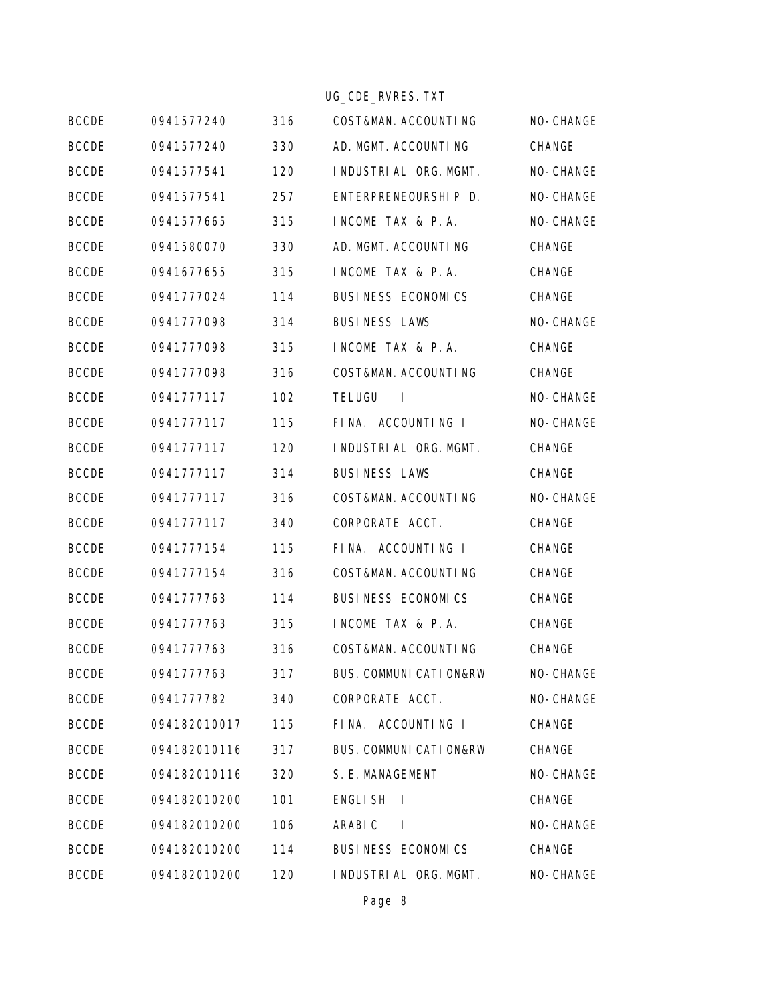|              |              |     | UG_CDE_RVRES. TXT                         |               |
|--------------|--------------|-----|-------------------------------------------|---------------|
| <b>BCCDE</b> | 0941577240   | 316 | COST&MAN. ACCOUNTING                      | NO-CHANGE     |
| <b>BCCDE</b> | 0941577240   | 330 | AD. MGMT. ACCOUNTING                      | CHANGE        |
| <b>BCCDE</b> | 0941577541   | 120 | I NDUSTRI AL ORG. MGMT.                   | NO-CHANGE     |
| <b>BCCDE</b> | 0941577541   | 257 | ENTERPRENEOURSHIP D.                      | NO-CHANGE     |
| <b>BCCDE</b> | 0941577665   | 315 | INCOME TAX & P.A.                         | NO-CHANGE     |
| <b>BCCDE</b> | 0941580070   | 330 | AD. MGMT. ACCOUNTING                      | CHANGE        |
| <b>BCCDE</b> | 0941677655   | 315 | INCOME TAX & P.A.                         | CHANGE        |
| <b>BCCDE</b> | 0941777024   | 114 | BUSINESS ECONOMICS                        | CHANGE        |
| <b>BCCDE</b> | 0941777098   | 314 | <b>BUSINESS LAWS</b>                      | NO-CHANGE     |
| <b>BCCDE</b> | 0941777098   | 315 | INCOME TAX & P.A.                         | CHANGE        |
| <b>BCCDE</b> | 0941777098   | 316 | COST&MAN. ACCOUNTING                      | CHANGE        |
| <b>BCCDE</b> | 0941777117   | 102 | <b>TELUGU</b><br>$\overline{\phantom{a}}$ | NO-CHANGE     |
| <b>BCCDE</b> | 0941777117   | 115 | FINA. ACCOUNTING I                        | NO-CHANGE     |
| <b>BCCDE</b> | 0941777117   | 120 | I NDUSTRI AL ORG. MGMT.                   | CHANGE        |
| <b>BCCDE</b> | 0941777117   | 314 | <b>BUSINESS LAWS</b>                      | CHANGE        |
| <b>BCCDE</b> | 0941777117   | 316 | COST&MAN. ACCOUNTING                      | NO-CHANGE     |
| <b>BCCDE</b> | 0941777117   | 340 | CORPORATE ACCT.                           | CHANGE        |
| <b>BCCDE</b> | 0941777154   | 115 | FINA. ACCOUNTING I                        | CHANGE        |
| <b>BCCDE</b> | 0941777154   | 316 | COST&MAN. ACCOUNTING                      | CHANGE        |
| <b>BCCDE</b> | 0941777763   | 114 | BUSINESS ECONOMICS                        | CHANGE        |
| <b>BCCDE</b> | 0941777763   | 315 | INCOME TAX & P.A.                         | CHANGE        |
| <b>BCCDE</b> | 0941777763   | 316 | COST&MAN. ACCOUNTING                      | CHANGE        |
| <b>BCCDE</b> | 0941777763   | 317 | BUS. COMMUNI CATI ON&RW                   | NO-CHANGE     |
| <b>BCCDE</b> | 0941777782   | 340 | CORPORATE ACCT.                           | NO-CHANGE     |
| <b>BCCDE</b> | 094182010017 | 115 | FINA. ACCOUNTING I                        | CHANGE        |
| <b>BCCDE</b> | 094182010116 | 317 | BUS. COMMUNI CATI ON&RW                   | <b>CHANGE</b> |
| <b>BCCDE</b> | 094182010116 | 320 | S. E. MANAGEMENT                          | NO-CHANGE     |
| <b>BCCDE</b> | 094182010200 | 101 | <b>ENGLISH</b><br>$\Box$                  | CHANGE        |
| <b>BCCDE</b> | 094182010200 | 106 | ARABI C<br>$\blacksquare$                 | NO-CHANGE     |
| <b>BCCDE</b> | 094182010200 | 114 | BUSINESS ECONOMICS                        | CHANGE        |
| <b>BCCDE</b> | 094182010200 | 120 | I NDUSTRI AL ORG. MGMT.                   | NO-CHANGE     |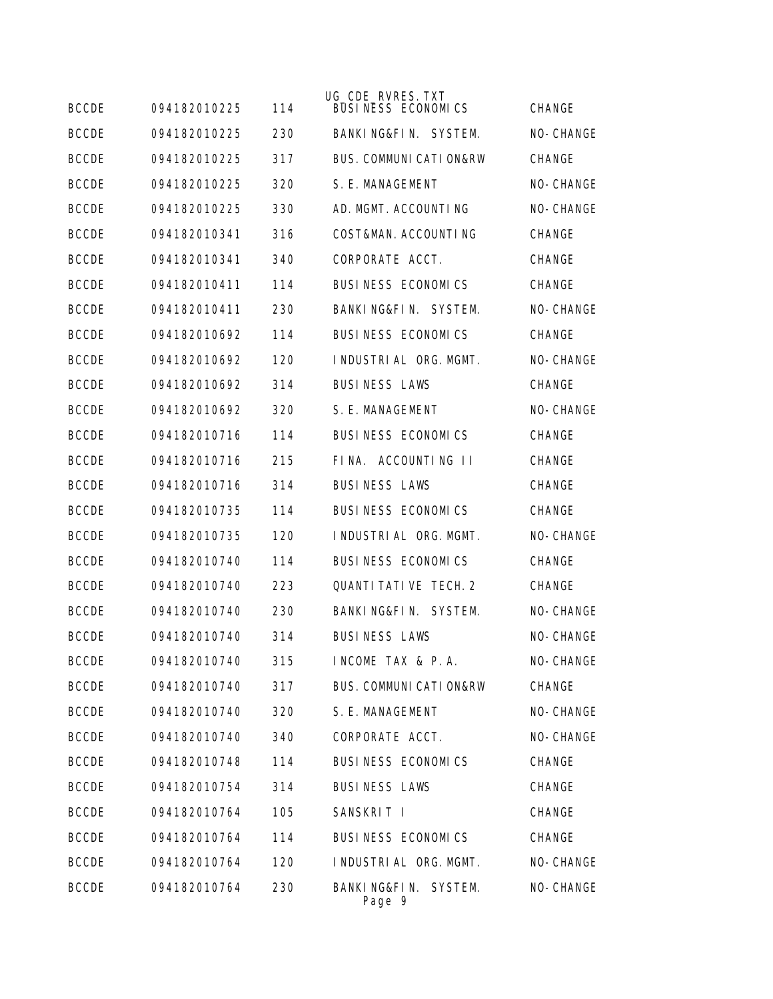| <b>BCCDE</b> | 094182010225 | 114 | UG_CDE_RVRES. TXT<br>BUSINESS ECONOMICS | <b>CHANGE</b> |
|--------------|--------------|-----|-----------------------------------------|---------------|
| <b>BCCDE</b> | 094182010225 | 230 | BANKING&FIN. SYSTEM.                    | NO-CHANGE     |
| <b>BCCDE</b> | 094182010225 | 317 | <b>BUS. COMMUNI CATI ON&amp;RW</b>      | <b>CHANGE</b> |
| <b>BCCDE</b> | 094182010225 | 320 | S. E. MANAGEMENT                        | NO-CHANGE     |
| <b>BCCDE</b> | 094182010225 | 330 | AD. MGMT. ACCOUNTING                    | NO-CHANGE     |
| <b>BCCDE</b> | 094182010341 | 316 | COST&MAN. ACCOUNTING                    | <b>CHANGE</b> |
| <b>BCCDE</b> | 094182010341 | 340 | CORPORATE ACCT.                         | CHANGE        |
| <b>BCCDE</b> | 094182010411 | 114 | BUSINESS ECONOMICS                      | <b>CHANGE</b> |
| <b>BCCDE</b> | 094182010411 | 230 | BANKING&FIN. SYSTEM.                    | NO-CHANGE     |
| <b>BCCDE</b> | 094182010692 | 114 | <b>BUSINESS ECONOMICS</b>               | <b>CHANGE</b> |
| <b>BCCDE</b> | 094182010692 | 120 | I NDUSTRI AL ORG. MGMT.                 | NO-CHANGE     |
| <b>BCCDE</b> | 094182010692 | 314 | <b>BUSINESS LAWS</b>                    | <b>CHANGE</b> |
| <b>BCCDE</b> | 094182010692 | 320 | S. F. MANAGEMENT                        | NO-CHANGE     |
| <b>BCCDE</b> | 094182010716 | 114 | BUSINESS ECONOMICS                      | <b>CHANGE</b> |
| <b>BCCDE</b> | 094182010716 | 215 | FINA. ACCOUNTING II                     | <b>CHANGE</b> |
| <b>BCCDE</b> | 094182010716 | 314 | <b>BUSINESS LAWS</b>                    | CHANGE        |
| <b>BCCDE</b> | 094182010735 | 114 | BUSINESS ECONOMICS                      | <b>CHANGE</b> |
| <b>BCCDE</b> | 094182010735 | 120 | I NDUSTRI AL ORG. MGMT.                 | NO-CHANGE     |
| <b>BCCDE</b> | 094182010740 | 114 | BUSINESS ECONOMICS                      | CHANGE        |
| <b>BCCDE</b> | 094182010740 | 223 | <b>QUANTI TATI VE TECH. 2</b>           | <b>CHANGE</b> |
| <b>BCCDE</b> | 094182010740 | 230 | BANKING&FIN. SYSTEM.                    | NO-CHANGE     |
| <b>BCCDE</b> | 094182010740 | 314 | <b>BUSINESS LAWS</b>                    | NO-CHANGE     |
| <b>BCCDE</b> | 094182010740 | 315 | INCOME TAX & P.A.                       | NO-CHANGE     |
| <b>BCCDE</b> | 094182010740 | 317 | BUS. COMMUNI CATI ON&RW                 | CHANGE        |
| <b>BCCDE</b> | 094182010740 | 320 | S. E. MANAGEMENT                        | NO-CHANGE     |
| <b>BCCDE</b> | 094182010740 | 340 | CORPORATE ACCT.                         | NO-CHANGE     |
| <b>BCCDE</b> | 094182010748 | 114 | BUSINESS ECONOMICS                      | CHANGE        |
| <b>BCCDE</b> | 094182010754 | 314 | <b>BUSINESS LAWS</b>                    | CHANGE        |
| <b>BCCDE</b> | 094182010764 | 105 | SANSKRIT I                              | CHANGE        |
| <b>BCCDE</b> | 094182010764 | 114 | BUSINESS ECONOMICS                      | CHANGE        |
| <b>BCCDE</b> | 094182010764 | 120 | I NDUSTRI AL ORG. MGMT.                 | NO-CHANGE     |
| <b>BCCDE</b> | 094182010764 | 230 | BANKING&FIN. SYSTEM.<br>Page 9          | NO-CHANGE     |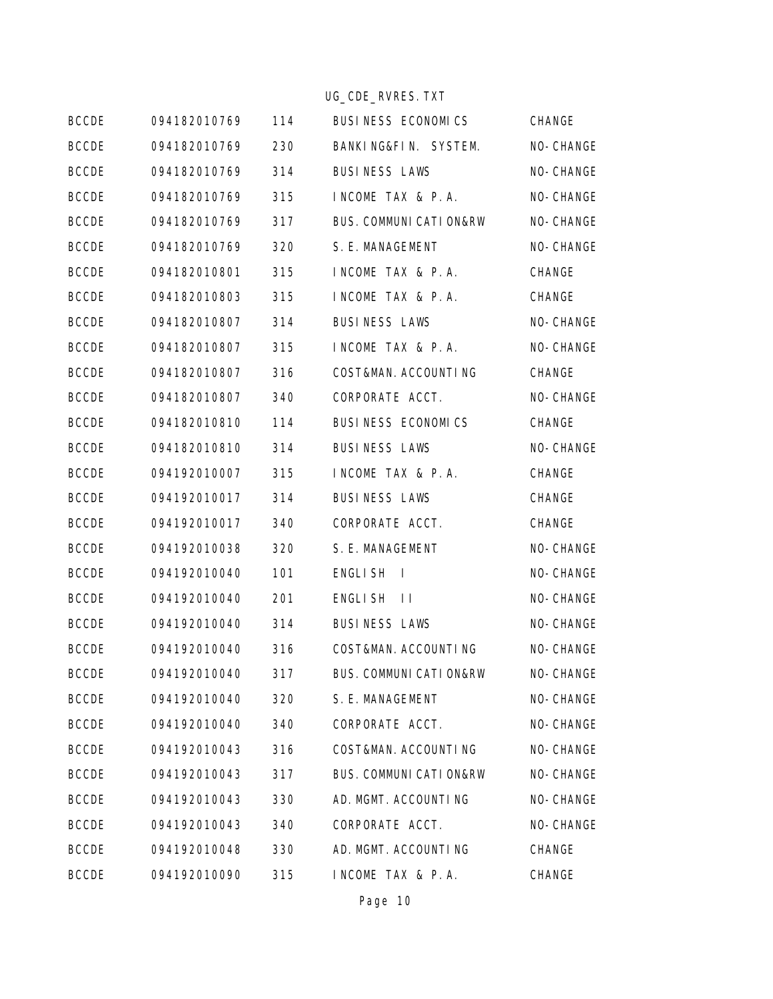|              |              |     | UG_CDE_RVRES. TXT                  |           |
|--------------|--------------|-----|------------------------------------|-----------|
| <b>BCCDE</b> | 094182010769 | 114 | BUSINESS ECONOMICS                 | CHANGE    |
| <b>BCCDE</b> | 094182010769 | 230 | BANKING&FIN. SYSTEM.               | NO-CHANGE |
| <b>BCCDE</b> | 094182010769 | 314 | <b>BUSINESS LAWS</b>               | NO-CHANGE |
| <b>BCCDE</b> | 094182010769 | 315 | INCOME TAX & P.A.                  | NO-CHANGE |
| <b>BCCDE</b> | 094182010769 | 317 | <b>BUS. COMMUNI CATI ON&amp;RW</b> | NO-CHANGE |
| <b>BCCDE</b> | 094182010769 | 320 | S. E. MANAGEMENT                   | NO-CHANGE |
| <b>BCCDE</b> | 094182010801 | 315 | INCOME TAX & P.A.                  | CHANGE    |
| <b>BCCDE</b> | 094182010803 | 315 | INCOME TAX & P.A.                  | CHANGE    |
| <b>BCCDE</b> | 094182010807 | 314 | <b>BUSINESS LAWS</b>               | NO-CHANGE |
| <b>BCCDE</b> | 094182010807 | 315 | INCOME TAX & P.A.                  | NO-CHANGE |
| <b>BCCDE</b> | 094182010807 | 316 | COST&MAN. ACCOUNTING               | CHANGE    |
| <b>BCCDE</b> | 094182010807 | 340 | CORPORATE ACCT.                    | NO-CHANGE |
| <b>BCCDE</b> | 094182010810 | 114 | BUSINESS ECONOMICS                 | CHANGE    |
| <b>BCCDE</b> | 094182010810 | 314 | <b>BUSINESS LAWS</b>               | NO-CHANGE |
| <b>BCCDE</b> | 094192010007 | 315 | INCOME TAX & P.A.                  | CHANGE    |
| <b>BCCDE</b> | 094192010017 | 314 | <b>BUSINESS LAWS</b>               | CHANGE    |
| <b>BCCDE</b> | 094192010017 | 340 | CORPORATE ACCT.                    | CHANGE    |
| <b>BCCDE</b> | 094192010038 | 320 | S. E. MANAGEMENT                   | NO-CHANGE |
| <b>BCCDE</b> | 094192010040 | 101 | ENGLI SH<br>$\overline{1}$         | NO-CHANGE |
| <b>BCCDE</b> | 094192010040 | 201 | ENGLI SH<br>$\Box$                 | NO-CHANGE |
| <b>BCCDE</b> | 094192010040 | 314 | <b>BUSINESS LAWS</b>               | NO-CHANGE |
| <b>BCCDE</b> | 094192010040 | 316 | COST&MAN. ACCOUNTING               | NO-CHANGE |
| <b>BCCDE</b> | 094192010040 | 317 | <b>BUS. COMMUNI CATI ON&amp;RW</b> | NO-CHANGE |
| <b>BCCDE</b> | 094192010040 | 320 | S. E. MANAGEMENT                   | NO-CHANGE |
| <b>BCCDE</b> | 094192010040 | 340 | CORPORATE ACCT.                    | NO-CHANGE |
| <b>BCCDE</b> | 094192010043 | 316 | COST&MAN. ACCOUNTING               | NO-CHANGE |
| <b>BCCDE</b> | 094192010043 | 317 | <b>BUS. COMMUNI CATI ON&amp;RW</b> | NO-CHANGE |
| <b>BCCDE</b> | 094192010043 | 330 | AD. MGMT. ACCOUNTING               | NO-CHANGE |
| <b>BCCDE</b> | 094192010043 | 340 | CORPORATE ACCT.                    | NO-CHANGE |
| <b>BCCDE</b> | 094192010048 | 330 | AD. MGMT. ACCOUNTING               | CHANGE    |
| <b>BCCDE</b> | 094192010090 | 315 | INCOME TAX & P.A.                  | CHANGE    |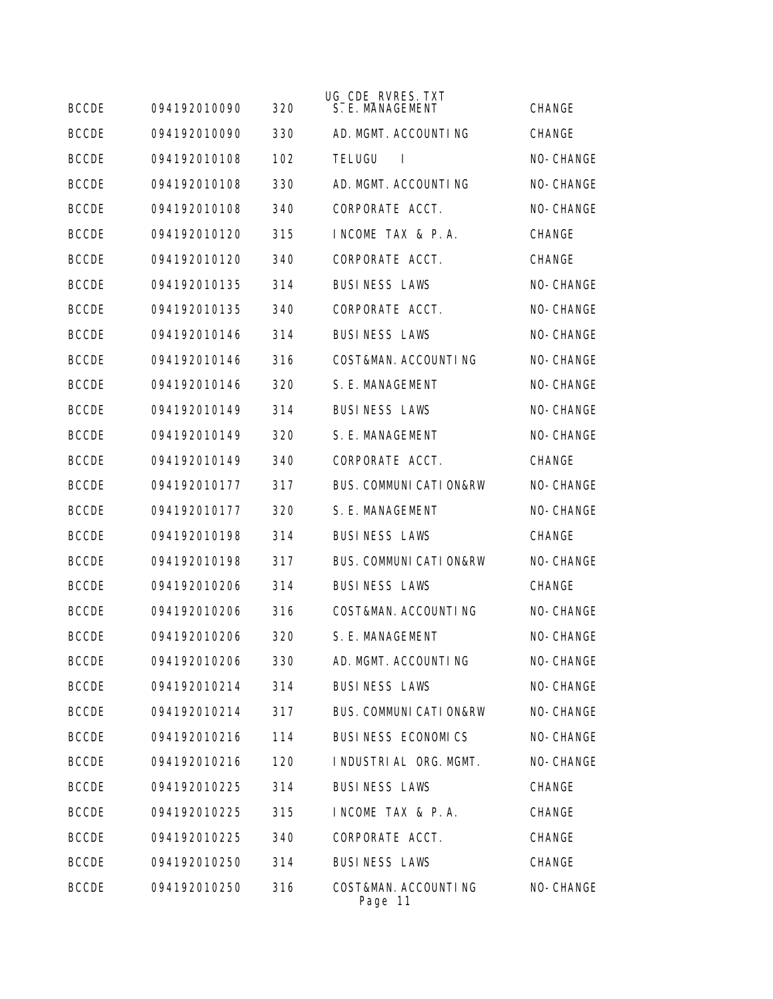| <b>BCCDE</b> | 094192010090 | 320 | UG_CDE_RVRES. TXT<br>S. E. MANAGEMENT | <b>CHANGE</b> |
|--------------|--------------|-----|---------------------------------------|---------------|
| <b>BCCDE</b> | 094192010090 | 330 | AD. MGMT. ACCOUNTING                  | <b>CHANGE</b> |
| <b>BCCDE</b> | 094192010108 | 102 | <b>TELUGU</b><br>$\mathbf{I}$         | NO-CHANGE     |
| <b>BCCDE</b> | 094192010108 | 330 | AD. MGMT. ACCOUNTING                  | NO-CHANGE     |
| <b>BCCDE</b> | 094192010108 | 340 | CORPORATE ACCT.                       | NO-CHANGE     |
| <b>BCCDE</b> | 094192010120 | 315 | INCOME TAX & P.A.                     | CHANGE        |
| <b>BCCDE</b> | 094192010120 | 340 | CORPORATE ACCT.                       | CHANGE        |
| <b>BCCDE</b> | 094192010135 | 314 | <b>BUSINESS LAWS</b>                  | NO-CHANGE     |
| <b>BCCDE</b> | 094192010135 | 340 | CORPORATE ACCT.                       | NO-CHANGE     |
| <b>BCCDE</b> | 094192010146 | 314 | <b>BUSINESS LAWS</b>                  | NO-CHANGE     |
| <b>BCCDE</b> | 094192010146 | 316 | COST&MAN. ACCOUNTING                  | NO-CHANGE     |
| <b>BCCDE</b> | 094192010146 | 320 | S. E. MANAGEMENT                      | NO-CHANGE     |
| <b>BCCDE</b> | 094192010149 | 314 | <b>BUSINESS LAWS</b>                  | NO-CHANGE     |
| <b>BCCDE</b> | 094192010149 | 320 | S. E. MANAGEMENT                      | NO-CHANGE     |
| <b>BCCDE</b> | 094192010149 | 340 | CORPORATE ACCT.                       | <b>CHANGE</b> |
| <b>BCCDE</b> | 094192010177 | 317 | <b>BUS. COMMUNI CATI ON&amp;RW</b>    | NO-CHANGE     |
| <b>BCCDE</b> | 094192010177 | 320 | S. E. MANAGEMENT                      | NO-CHANGE     |
| <b>BCCDE</b> | 094192010198 | 314 | <b>BUSINESS LAWS</b>                  | CHANGE        |
| <b>BCCDE</b> | 094192010198 | 317 | <b>BUS. COMMUNI CATI ON&amp;RW</b>    | NO-CHANGE     |
| <b>BCCDE</b> | 094192010206 | 314 | <b>BUSINESS LAWS</b>                  | <b>CHANGE</b> |
| <b>BCCDE</b> | 094192010206 | 316 | COST&MAN. ACCOUNTING                  | NO-CHANGE     |
| <b>BCCDE</b> | 094192010206 | 320 | S. E. MANAGEMENT                      | NO-CHANGE     |
| <b>BCCDE</b> | 094192010206 | 330 | AD. MGMT. ACCOUNTING                  | NO-CHANGE     |
| <b>BCCDE</b> | 094192010214 | 314 | <b>BUSINESS LAWS</b>                  | NO-CHANGE     |
| <b>BCCDE</b> | 094192010214 | 317 | <b>BUS. COMMUNI CATI ON&amp;RW</b>    | NO-CHANGE     |
| <b>BCCDE</b> | 094192010216 | 114 | BUSINESS ECONOMICS                    | NO-CHANGE     |
| <b>BCCDE</b> | 094192010216 | 120 | I NDUSTRI AL ORG. MGMT.               | NO-CHANGE     |
| <b>BCCDE</b> | 094192010225 | 314 | <b>BUSINESS LAWS</b>                  | CHANGE        |
| <b>BCCDE</b> | 094192010225 | 315 | INCOME TAX & P.A.                     | CHANGE        |
| <b>BCCDE</b> | 094192010225 | 340 | CORPORATE ACCT.                       | CHANGE        |
| <b>BCCDE</b> | 094192010250 | 314 | <b>BUSINESS LAWS</b>                  | CHANGE        |
| <b>BCCDE</b> | 094192010250 | 316 | COST&MAN. ACCOUNTING<br>Page 11       | NO-CHANGE     |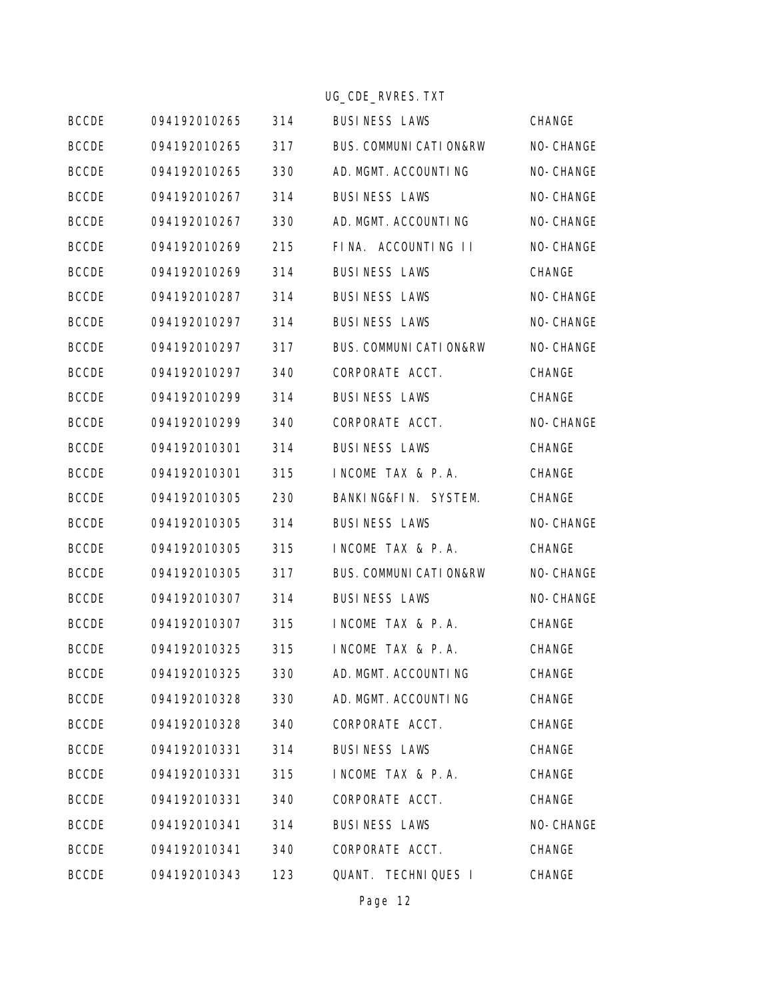|              |              |     | UG_CDE_RVRES. TXT                  |           |
|--------------|--------------|-----|------------------------------------|-----------|
| <b>BCCDE</b> | 094192010265 | 314 | <b>BUSINESS LAWS</b>               | CHANGE    |
| <b>BCCDE</b> | 094192010265 | 317 | <b>BUS. COMMUNI CATI ON&amp;RW</b> | NO-CHANGE |
| <b>BCCDE</b> | 094192010265 | 330 | AD. MGMT. ACCOUNTING               | NO-CHANGE |
| <b>BCCDE</b> | 094192010267 | 314 | <b>BUSINESS LAWS</b>               | NO-CHANGE |
| <b>BCCDE</b> | 094192010267 | 330 | AD. MGMT. ACCOUNTING               | NO-CHANGE |
| <b>BCCDE</b> | 094192010269 | 215 | FINA. ACCOUNTING II                | NO-CHANGE |
| <b>BCCDE</b> | 094192010269 | 314 | <b>BUSINESS LAWS</b>               | CHANGE    |
| <b>BCCDE</b> | 094192010287 | 314 | <b>BUSINESS LAWS</b>               | NO-CHANGE |
| <b>BCCDE</b> | 094192010297 | 314 | <b>BUSINESS LAWS</b>               | NO-CHANGE |
| <b>BCCDE</b> | 094192010297 | 317 | <b>BUS. COMMUNI CATI ON&amp;RW</b> | NO-CHANGE |
| <b>BCCDE</b> | 094192010297 | 340 | CORPORATE ACCT.                    | CHANGE    |
| <b>BCCDE</b> | 094192010299 | 314 | <b>BUSINESS LAWS</b>               | CHANGE    |
| <b>BCCDE</b> | 094192010299 | 340 | CORPORATE ACCT.                    | NO-CHANGE |
| <b>BCCDE</b> | 094192010301 | 314 | <b>BUSINESS LAWS</b>               | CHANGE    |
| <b>BCCDE</b> | 094192010301 | 315 | INCOME TAX & P.A.                  | CHANGE    |
| <b>BCCDE</b> | 094192010305 | 230 | BANKING&FIN. SYSTEM.               | CHANGE    |
| <b>BCCDE</b> | 094192010305 | 314 | <b>BUSINESS LAWS</b>               | NO-CHANGE |
| <b>BCCDE</b> | 094192010305 | 315 | INCOME TAX & P.A.                  | CHANGE    |
| <b>BCCDE</b> | 094192010305 | 317 | <b>BUS. COMMUNI CATI ON&amp;RW</b> | NO-CHANGE |
| <b>BCCDE</b> | 094192010307 | 314 | <b>BUSINESS LAWS</b>               | NO-CHANGE |
| <b>BCCDE</b> | 094192010307 | 315 | INCOME TAX & P.A.                  | CHANGE    |
| <b>BCCDE</b> | 094192010325 | 315 | INCOME TAX & P.A.                  | CHANGE    |
| <b>BCCDE</b> | 094192010325 | 330 | AD. MGMT. ACCOUNTING               | CHANGE    |
| <b>BCCDE</b> | 094192010328 | 330 | AD. MGMT. ACCOUNTING               | CHANGE    |
| <b>BCCDE</b> | 094192010328 | 340 | CORPORATE ACCT.                    | CHANGE    |
| <b>BCCDE</b> | 094192010331 | 314 | <b>BUSINESS LAWS</b>               | CHANGE    |
| <b>BCCDE</b> | 094192010331 | 315 | INCOME TAX & P.A.                  | CHANGE    |
| <b>BCCDE</b> | 094192010331 | 340 | CORPORATE ACCT.                    | CHANGE    |
| <b>BCCDE</b> | 094192010341 | 314 | <b>BUSINESS LAWS</b>               | NO-CHANGE |
| <b>BCCDE</b> | 094192010341 | 340 | CORPORATE ACCT.                    | CHANGE    |
| <b>BCCDE</b> | 094192010343 | 123 | QUANT. TECHNIQUES I                | CHANGE    |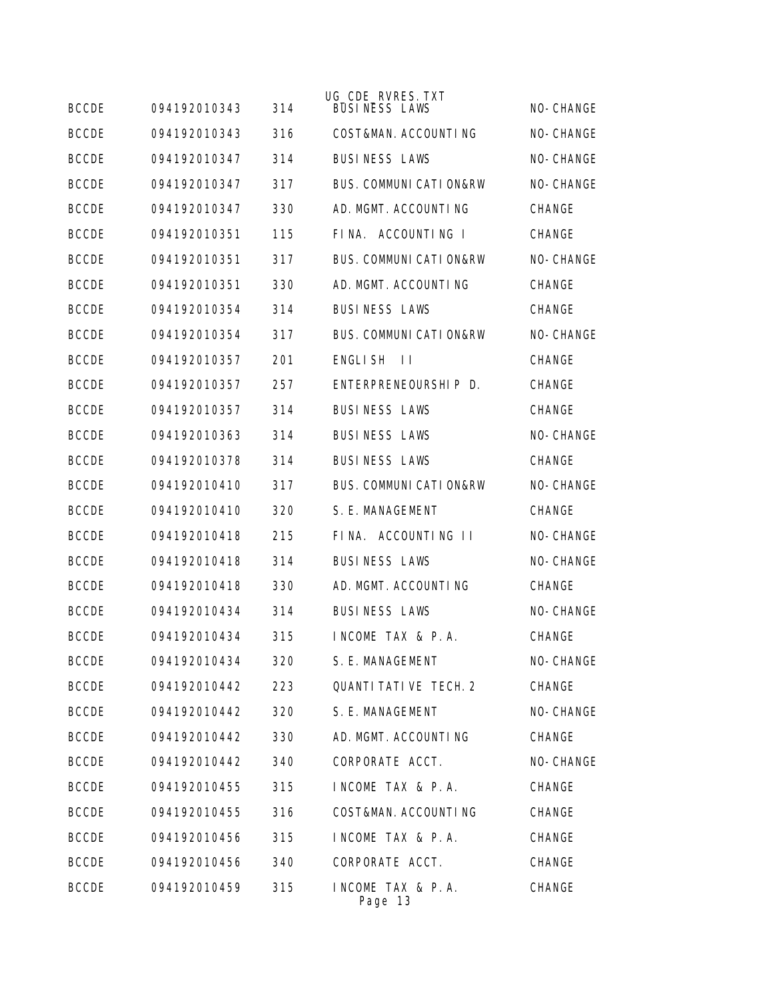| <b>BCCDE</b> | 094192010343 | 314 | UG_CDE_RVRES. TXT<br><b>BUSINESS LAWS</b> | NO-CHANGE     |
|--------------|--------------|-----|-------------------------------------------|---------------|
| <b>BCCDE</b> | 094192010343 | 316 | COST&MAN. ACCOUNTING                      | NO-CHANGE     |
| <b>BCCDE</b> | 094192010347 | 314 | <b>BUSINESS LAWS</b>                      | NO-CHANGE     |
| <b>BCCDE</b> | 094192010347 | 317 | BUS. COMMUNI CATI ON&RW                   | NO-CHANGE     |
| <b>BCCDE</b> | 094192010347 | 330 | AD. MGMT. ACCOUNTING                      | <b>CHANGE</b> |
| <b>BCCDE</b> | 094192010351 | 115 | FINA. ACCOUNTING I                        | <b>CHANGE</b> |
| <b>BCCDE</b> | 094192010351 | 317 | <b>BUS. COMMUNI CATI ON&amp;RW</b>        | NO-CHANGE     |
| <b>BCCDE</b> | 094192010351 | 330 | AD. MGMT. ACCOUNTING                      | <b>CHANGE</b> |
| <b>BCCDE</b> | 094192010354 | 314 | <b>BUSINESS LAWS</b>                      | <b>CHANGE</b> |
| <b>BCCDE</b> | 094192010354 | 317 | <b>BUS. COMMUNI CATI ON&amp;RW</b>        | NO-CHANGE     |
| <b>BCCDE</b> | 094192010357 | 201 | ENGLI SH<br>$\perp$                       | <b>CHANGE</b> |
| <b>BCCDE</b> | 094192010357 | 257 | ENTERPRENEOURSHIP D.                      | <b>CHANGE</b> |
| <b>BCCDE</b> | 094192010357 | 314 | <b>BUSINESS LAWS</b>                      | <b>CHANGE</b> |
| <b>BCCDE</b> | 094192010363 | 314 | <b>BUSINESS LAWS</b>                      | NO-CHANGE     |
| <b>BCCDE</b> | 094192010378 | 314 | <b>BUSINESS LAWS</b>                      | <b>CHANGE</b> |
| <b>BCCDE</b> | 094192010410 | 317 | <b>BUS. COMMUNI CATI ON&amp;RW</b>        | NO-CHANGE     |
| <b>BCCDE</b> | 094192010410 | 320 | S. E. MANAGEMENT                          | <b>CHANGE</b> |
| <b>BCCDE</b> | 094192010418 | 215 | FINA. ACCOUNTING II                       | NO-CHANGE     |
| <b>BCCDE</b> | 094192010418 | 314 | <b>BUSINESS LAWS</b>                      | NO-CHANGE     |
| <b>BCCDE</b> | 094192010418 | 330 | AD. MGMT. ACCOUNTING                      | <b>CHANGE</b> |
| <b>BCCDE</b> | 094192010434 | 314 | <b>BUSINESS LAWS</b>                      | NO-CHANGE     |
| <b>BCCDE</b> | 094192010434 | 315 | INCOME TAX & P.A.                         | CHANGE        |
| <b>BCCDE</b> | 094192010434 | 320 | S. E. MANAGEMENT                          | NO-CHANGE     |
| <b>BCCDE</b> | 094192010442 | 223 | QUANTI TATI VE TECH. 2                    | CHANGE        |
| <b>BCCDE</b> | 094192010442 | 320 | S. E. MANAGEMENT                          | NO-CHANGE     |
| <b>BCCDE</b> | 094192010442 | 330 | AD. MGMT. ACCOUNTING                      | CHANGE        |
| <b>BCCDE</b> | 094192010442 | 340 | CORPORATE ACCT.                           | NO-CHANGE     |
| <b>BCCDE</b> | 094192010455 | 315 | INCOME TAX & P.A.                         | CHANGE        |
| <b>BCCDE</b> | 094192010455 | 316 | COST&MAN. ACCOUNTING                      | CHANGE        |
| <b>BCCDE</b> | 094192010456 | 315 | INCOME TAX & P.A.                         | CHANGE        |
| <b>BCCDE</b> | 094192010456 | 340 | CORPORATE ACCT.                           | CHANGE        |
| <b>BCCDE</b> | 094192010459 | 315 | INCOME TAX & P.A.<br>Page 13              | CHANGE        |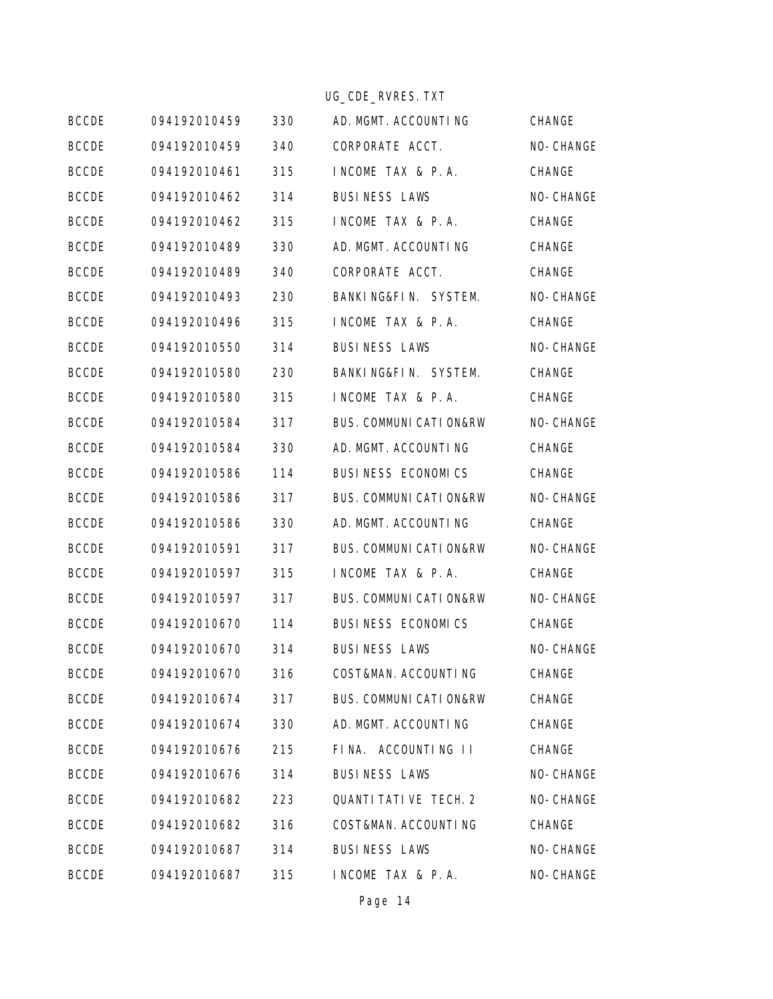|              |              |     | UG_CDE_RVRES. TXT       |           |
|--------------|--------------|-----|-------------------------|-----------|
| <b>BCCDE</b> | 094192010459 | 330 | AD. MGMT. ACCOUNTING    | CHANGE    |
| <b>BCCDE</b> | 094192010459 | 340 | CORPORATE ACCT.         | NO-CHANGE |
| <b>BCCDE</b> | 094192010461 | 315 | INCOME TAX & P.A.       | CHANGE    |
| <b>BCCDE</b> | 094192010462 | 314 | <b>BUSINESS LAWS</b>    | NO-CHANGE |
| <b>BCCDE</b> | 094192010462 | 315 | INCOME TAX & P.A.       | CHANGE    |
| <b>BCCDE</b> | 094192010489 | 330 | AD. MGMT. ACCOUNTING    | CHANGE    |
| <b>BCCDE</b> | 094192010489 | 340 | CORPORATE ACCT.         | CHANGE    |
| <b>BCCDE</b> | 094192010493 | 230 | BANKING&FIN. SYSTEM.    | NO-CHANGE |
| <b>BCCDE</b> | 094192010496 | 315 | INCOME TAX & P.A.       | CHANGE    |
| <b>BCCDE</b> | 094192010550 | 314 | <b>BUSINESS LAWS</b>    | NO-CHANGE |
| <b>BCCDE</b> | 094192010580 | 230 | BANKING&FIN. SYSTEM.    | CHANGE    |
| <b>BCCDE</b> | 094192010580 | 315 | INCOME TAX & P.A.       | CHANGE    |
| <b>BCCDE</b> | 094192010584 | 317 | BUS. COMMUNI CATI ON&RW | NO-CHANGE |
| <b>BCCDE</b> | 094192010584 | 330 | AD. MGMT. ACCOUNTING    | CHANGE    |
| <b>BCCDE</b> | 094192010586 | 114 | BUSINESS ECONOMICS      | CHANGE    |
| <b>BCCDE</b> | 094192010586 | 317 | BUS. COMMUNI CATI ON&RW | NO-CHANGE |
| <b>BCCDE</b> | 094192010586 | 330 | AD. MGMT. ACCOUNTING    | CHANGE    |
| <b>BCCDE</b> | 094192010591 | 317 | BUS. COMMUNI CATI ON&RW | NO-CHANGE |
| <b>BCCDE</b> | 094192010597 | 315 | INCOME TAX & P.A.       | CHANGE    |
| <b>BCCDE</b> | 094192010597 | 317 | BUS. COMMUNI CATI ON&RW | NO-CHANGE |
| <b>BCCDE</b> | 094192010670 | 114 | BUSINESS ECONOMICS      | CHANGE    |
| <b>BCCDE</b> | 094192010670 | 314 | <b>BUSINESS LAWS</b>    | NO-CHANGE |
| <b>BCCDE</b> | 094192010670 | 316 | COST&MAN. ACCOUNTING    | CHANGE    |
| <b>BCCDE</b> | 094192010674 | 317 | BUS. COMMUNI CATI ON&RW | CHANGE    |
| <b>BCCDE</b> | 094192010674 | 330 | AD. MGMT. ACCOUNTING    | CHANGE    |
| <b>BCCDE</b> | 094192010676 | 215 | FINA. ACCOUNTING II     | CHANGE    |
| <b>BCCDE</b> | 094192010676 | 314 | <b>BUSINESS LAWS</b>    | NO-CHANGE |
| <b>BCCDE</b> | 094192010682 | 223 | QUANTI TATI VE TECH. 2  | NO-CHANGE |
| <b>BCCDE</b> | 094192010682 | 316 | COST&MAN. ACCOUNTING    | CHANGE    |
| <b>BCCDE</b> | 094192010687 | 314 | <b>BUSINESS LAWS</b>    | NO-CHANGE |
| <b>BCCDE</b> | 094192010687 | 315 | INCOME TAX & P.A.       | NO-CHANGE |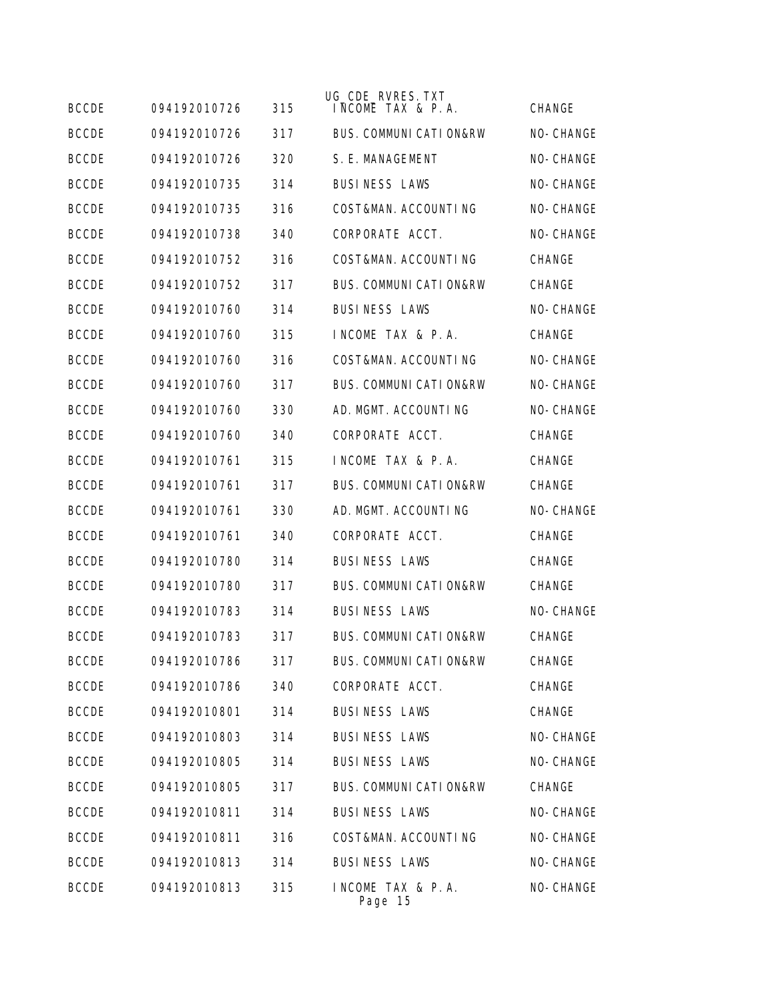| <b>BCCDE</b> | 094192010726 | 315 | UG_CDE_RVRES. TXT<br>INCOME TAX & P.A. | <b>CHANGE</b> |
|--------------|--------------|-----|----------------------------------------|---------------|
| <b>BCCDE</b> | 094192010726 | 317 | <b>BUS. COMMUNI CATI ON&amp;RW</b>     | NO-CHANGE     |
| <b>BCCDE</b> | 094192010726 | 320 | S. E. MANAGEMENT                       | NO-CHANGE     |
| <b>BCCDE</b> | 094192010735 | 314 | <b>BUSINESS LAWS</b>                   | NO-CHANGE     |
| <b>BCCDE</b> | 094192010735 | 316 | COST&MAN. ACCOUNTING                   | NO-CHANGE     |
| <b>BCCDE</b> | 094192010738 | 340 | CORPORATE ACCT.                        | NO-CHANGE     |
| <b>BCCDE</b> | 094192010752 | 316 | COST&MAN. ACCOUNTING                   | <b>CHANGE</b> |
| <b>BCCDE</b> | 094192010752 | 317 | <b>BUS. COMMUNI CATI ON&amp;RW</b>     | <b>CHANGE</b> |
| <b>BCCDE</b> | 094192010760 | 314 | <b>BUSINESS LAWS</b>                   | NO-CHANGE     |
| <b>BCCDE</b> | 094192010760 | 315 | INCOME TAX & P.A.                      | <b>CHANGE</b> |
| <b>BCCDE</b> | 094192010760 | 316 | COST&MAN, ACCOUNTING                   | NO-CHANGE     |
| <b>BCCDE</b> | 094192010760 | 317 | <b>BUS. COMMUNI CATI ON&amp;RW</b>     | NO-CHANGE     |
| <b>BCCDE</b> | 094192010760 | 330 | AD. MGMT. ACCOUNTING                   | NO-CHANGE     |
| <b>BCCDE</b> | 094192010760 | 340 | CORPORATE ACCT.                        | CHANGE        |
| <b>BCCDE</b> | 094192010761 | 315 | INCOME TAX & P.A.                      | <b>CHANGE</b> |
| <b>BCCDE</b> | 094192010761 | 317 | <b>BUS. COMMUNI CATI ON&amp;RW</b>     | <b>CHANGE</b> |
| <b>BCCDE</b> | 094192010761 | 330 | AD. MGMT. ACCOUNTING                   | NO-CHANGE     |
| <b>BCCDE</b> | 094192010761 | 340 | CORPORATE ACCT.                        | <b>CHANGE</b> |
| <b>BCCDE</b> | 094192010780 | 314 | <b>BUSINESS LAWS</b>                   | CHANGE        |
| <b>BCCDE</b> | 094192010780 | 317 | <b>BUS. COMMUNI CATI ON&amp;RW</b>     | <b>CHANGE</b> |
| <b>BCCDE</b> | 094192010783 | 314 | <b>BUSINESS LAWS</b>                   | NO-CHANGE     |
| <b>BCCDE</b> | 094192010783 | 317 | <b>BUS. COMMUNI CATI ON&amp;RW</b>     | <b>CHANGE</b> |
| <b>BCCDE</b> | 094192010786 | 317 | BUS. COMMUNI CATI ON&RW                | CHANGE        |
| <b>BCCDE</b> | 094192010786 | 340 | CORPORATE ACCT.                        | CHANGE        |
| <b>BCCDE</b> | 094192010801 | 314 | <b>BUSINESS LAWS</b>                   | CHANGE        |
| <b>BCCDE</b> | 094192010803 | 314 | <b>BUSINESS LAWS</b>                   | NO-CHANGE     |
| <b>BCCDE</b> | 094192010805 | 314 | <b>BUSINESS LAWS</b>                   | NO-CHANGE     |
| <b>BCCDE</b> | 094192010805 | 317 | <b>BUS. COMMUNI CATI ON&amp;RW</b>     | CHANGE        |
| <b>BCCDE</b> | 094192010811 | 314 | <b>BUSINESS LAWS</b>                   | NO-CHANGE     |
| <b>BCCDE</b> | 094192010811 | 316 | COST&MAN. ACCOUNTING                   | NO-CHANGE     |
| <b>BCCDE</b> | 094192010813 | 314 | <b>BUSINESS LAWS</b>                   | NO-CHANGE     |
| <b>BCCDE</b> | 094192010813 | 315 | INCOME TAX & P.A.<br>Page 15           | NO-CHANGE     |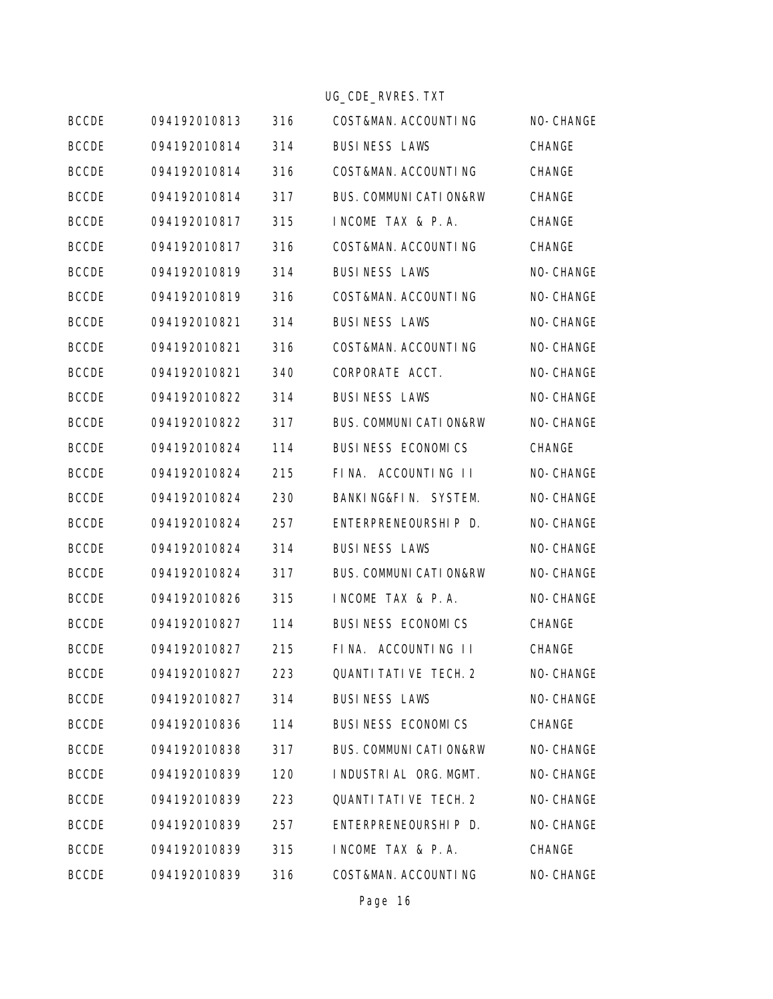|  | UG CDE RVRES. TXT |  |
|--|-------------------|--|
|  |                   |  |

|              |              |     | UG_CDE_RVRES. TXT                  |           |
|--------------|--------------|-----|------------------------------------|-----------|
| <b>BCCDE</b> | 094192010813 | 316 | COST&MAN. ACCOUNTING               | NO-CHANGE |
| <b>BCCDE</b> | 094192010814 | 314 | <b>BUSINESS LAWS</b>               | CHANGE    |
| <b>BCCDE</b> | 094192010814 | 316 | COST&MAN. ACCOUNTING               | CHANGE    |
| <b>BCCDE</b> | 094192010814 | 317 | <b>BUS. COMMUNI CATI ON&amp;RW</b> | CHANGE    |
| <b>BCCDE</b> | 094192010817 | 315 | INCOME TAX & P.A.                  | CHANGE    |
| <b>BCCDE</b> | 094192010817 | 316 | COST&MAN. ACCOUNTING               | CHANGE    |
| <b>BCCDE</b> | 094192010819 | 314 | <b>BUSINESS LAWS</b>               | NO-CHANGE |
| <b>BCCDE</b> | 094192010819 | 316 | COST&MAN. ACCOUNTING               | NO-CHANGE |
| <b>BCCDE</b> | 094192010821 | 314 | <b>BUSINESS LAWS</b>               | NO-CHANGE |
| <b>BCCDE</b> | 094192010821 | 316 | COST&MAN. ACCOUNTING               | NO-CHANGE |
| <b>BCCDE</b> | 094192010821 | 340 | CORPORATE ACCT.                    | NO-CHANGE |
| <b>BCCDE</b> | 094192010822 | 314 | <b>BUSINESS LAWS</b>               | NO-CHANGE |
| <b>BCCDE</b> | 094192010822 | 317 | <b>BUS. COMMUNI CATI ON&amp;RW</b> | NO-CHANGE |
| <b>BCCDE</b> | 094192010824 | 114 | BUSINESS ECONOMICS                 | CHANGE    |
| <b>BCCDE</b> | 094192010824 | 215 | FINA. ACCOUNTING II                | NO-CHANGE |
| <b>BCCDE</b> | 094192010824 | 230 | BANKING&FIN. SYSTEM.               | NO-CHANGE |
| <b>BCCDE</b> | 094192010824 | 257 | ENTERPRENEOURSHIP D.               | NO-CHANGE |
| <b>BCCDE</b> | 094192010824 | 314 | <b>BUSINESS LAWS</b>               | NO-CHANGE |
| <b>BCCDE</b> | 094192010824 | 317 | <b>BUS. COMMUNI CATI ON&amp;RW</b> | NO-CHANGE |
| <b>BCCDE</b> | 094192010826 | 315 | INCOME TAX & P.A.                  | NO-CHANGE |
| <b>BCCDE</b> | 094192010827 | 114 | BUSINESS ECONOMICS                 | CHANGE    |
| <b>BCCDE</b> | 094192010827 | 215 | FINA. ACCOUNTING II                | CHANGE    |
| <b>BCCDE</b> | 094192010827 | 223 | QUANTI TATI VE TECH. 2             | NO-CHANGE |
| <b>BCCDE</b> | 094192010827 | 314 | <b>BUSINESS LAWS</b>               | NO-CHANGE |
| <b>BCCDE</b> | 094192010836 | 114 | BUSINESS ECONOMICS                 | CHANGE    |
| <b>BCCDE</b> | 094192010838 | 317 | <b>BUS. COMMUNI CATI ON&amp;RW</b> | NO-CHANGE |
| <b>BCCDE</b> | 094192010839 | 120 | I NDUSTRI AL ORG. MGMT.            | NO-CHANGE |
| <b>BCCDE</b> | 094192010839 | 223 | QUANTI TATI VE TECH. 2             | NO-CHANGE |
| <b>BCCDE</b> | 094192010839 | 257 | ENTERPRENEOURSHIP D.               | NO-CHANGE |
| <b>BCCDE</b> | 094192010839 | 315 | INCOME TAX & P.A.                  | CHANGE    |
| <b>BCCDE</b> | 094192010839 | 316 | COST&MAN. ACCOUNTING               | NO-CHANGE |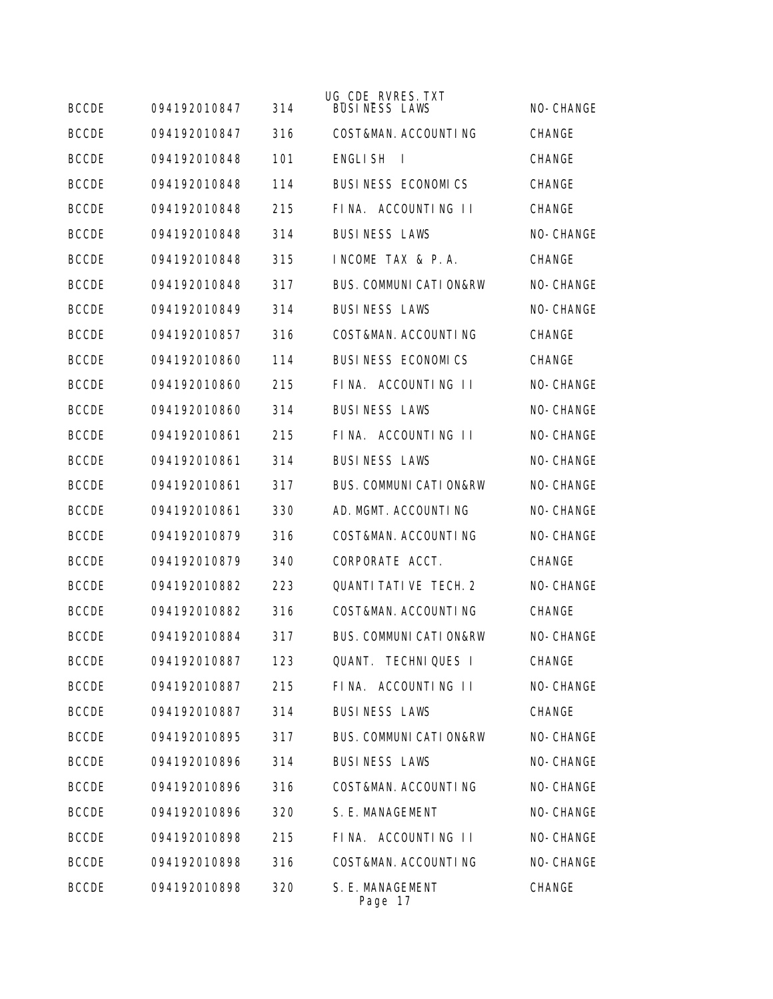| <b>BCCDE</b> | 094192010847 | 314 | UG_CDE_RVRES. TXT<br><b>BUSINESS LAWS</b> | NO-CHANGE     |
|--------------|--------------|-----|-------------------------------------------|---------------|
| <b>BCCDE</b> | 094192010847 | 316 | COST&MAN. ACCOUNTING                      | <b>CHANGE</b> |
| <b>BCCDE</b> | 094192010848 | 101 | <b>ENGLISH</b><br>$\mathbf{I}$            | <b>CHANGE</b> |
| <b>BCCDE</b> | 094192010848 | 114 | <b>BUSINESS ECONOMICS</b>                 | CHANGE        |
| <b>BCCDE</b> | 094192010848 | 215 | FINA. ACCOUNTING II                       | <b>CHANGE</b> |
| <b>BCCDE</b> | 094192010848 | 314 | <b>BUSINESS LAWS</b>                      | NO-CHANGE     |
| <b>BCCDE</b> | 094192010848 | 315 | INCOME TAX & P.A.                         | <b>CHANGE</b> |
| <b>BCCDE</b> | 094192010848 | 317 | <b>BUS. COMMUNI CATI ON&amp;RW</b>        | NO-CHANGE     |
| <b>BCCDE</b> | 094192010849 | 314 | <b>BUSINESS LAWS</b>                      | NO-CHANGE     |
| <b>BCCDE</b> | 094192010857 | 316 | COST&MAN. ACCOUNTING                      | CHANGE        |
| <b>BCCDE</b> | 094192010860 | 114 | BUSINESS ECONOMICS                        | <b>CHANGE</b> |
| <b>BCCDE</b> | 094192010860 | 215 | FINA. ACCOUNTING II                       | NO-CHANGE     |
| <b>BCCDE</b> | 094192010860 | 314 | <b>BUSINESS LAWS</b>                      | NO-CHANGE     |
| <b>BCCDE</b> | 094192010861 | 215 | FINA. ACCOUNTING II                       | NO-CHANGE     |
| <b>BCCDE</b> | 094192010861 | 314 | <b>BUSINESS LAWS</b>                      | NO-CHANGE     |
| <b>BCCDE</b> | 094192010861 | 317 | <b>BUS. COMMUNI CATI ON&amp;RW</b>        | NO-CHANGE     |
| <b>BCCDE</b> | 094192010861 | 330 | AD. MGMT. ACCOUNTING                      | NO-CHANGE     |
| <b>BCCDE</b> | 094192010879 | 316 | COST&MAN. ACCOUNTING                      | NO-CHANGE     |
| <b>BCCDE</b> | 094192010879 | 340 | CORPORATE ACCT.                           | CHANGE        |
| <b>BCCDE</b> | 094192010882 | 223 | <b>QUANTI TATI VE TECH. 2</b>             | NO-CHANGE     |
| <b>BCCDE</b> | 094192010882 | 316 | COST&MAN. ACCOUNTING                      | <b>CHANGE</b> |
| <b>BCCDE</b> | 094192010884 | 317 | <b>BUS. COMMUNI CATI ON&amp;RW</b>        | NO-CHANGE     |
| <b>BCCDE</b> | 094192010887 | 123 | QUANT. TECHNIQUES I                       | CHANGE        |
| <b>BCCDE</b> | 094192010887 | 215 | FINA. ACCOUNTING II                       | NO-CHANGE     |
| <b>BCCDE</b> | 094192010887 | 314 | <b>BUSINESS LAWS</b>                      | CHANGE        |
| <b>BCCDE</b> | 094192010895 | 317 | <b>BUS. COMMUNI CATI ON&amp;RW</b>        | NO-CHANGE     |
| <b>BCCDE</b> | 094192010896 | 314 | <b>BUSINESS LAWS</b>                      | NO-CHANGE     |
| <b>BCCDE</b> | 094192010896 | 316 | COST&MAN. ACCOUNTING                      | NO-CHANGE     |
| <b>BCCDE</b> | 094192010896 | 320 | S. E. MANAGEMENT                          | NO-CHANGE     |
| <b>BCCDE</b> | 094192010898 | 215 | FINA. ACCOUNTING II                       | NO-CHANGE     |
| <b>BCCDE</b> | 094192010898 | 316 | COST&MAN. ACCOUNTING                      | NO-CHANGE     |
| <b>BCCDE</b> | 094192010898 | 320 | S. E. MANAGEMENT<br>Page 17               | CHANGE        |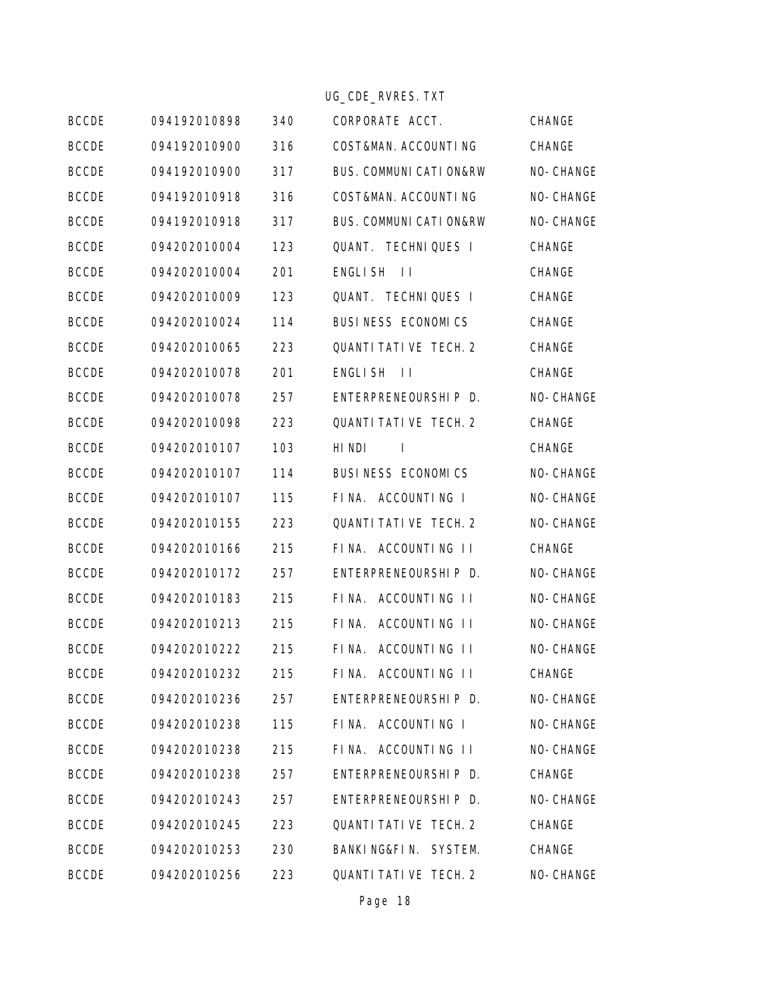|              |              |     | UG_CDE_RVRES. TXT                  |           |
|--------------|--------------|-----|------------------------------------|-----------|
| <b>BCCDE</b> | 094192010898 | 340 | CORPORATE ACCT.                    | CHANGE    |
| <b>BCCDE</b> | 094192010900 | 316 | COST&MAN. ACCOUNTING               | CHANGE    |
| <b>BCCDE</b> | 094192010900 | 317 | BUS. COMMUNI CATI ON&RW            | NO-CHANGE |
| <b>BCCDE</b> | 094192010918 | 316 | COST&MAN. ACCOUNTING               | NO-CHANGE |
| <b>BCCDE</b> | 094192010918 | 317 | <b>BUS. COMMUNI CATI ON&amp;RW</b> | NO-CHANGE |
| <b>BCCDE</b> | 094202010004 | 123 | QUANT. TECHNIQUES I                | CHANGE    |
| <b>BCCDE</b> | 094202010004 | 201 | ENGLISH II                         | CHANGE    |
| <b>BCCDE</b> | 094202010009 | 123 | QUANT. TECHNIQUES I                | CHANGE    |
| <b>BCCDE</b> | 094202010024 | 114 | BUSINESS ECONOMICS                 | CHANGE    |
| <b>BCCDE</b> | 094202010065 | 223 | QUANTI TATI VE TECH. 2             | CHANGE    |
| <b>BCCDE</b> | 094202010078 | 201 | ENGLISH II                         | CHANGE    |
| <b>BCCDE</b> | 094202010078 | 257 | ENTERPRENEOURSHIP D.               | NO-CHANGE |
| <b>BCCDE</b> | 094202010098 | 223 | QUANTI TATI VE TECH. 2             | CHANGE    |
| <b>BCCDE</b> | 094202010107 | 103 | HI NDI<br>$\Box$                   | CHANGE    |
| <b>BCCDE</b> | 094202010107 | 114 | BUSINESS ECONOMICS                 | NO-CHANGE |
| <b>BCCDE</b> | 094202010107 | 115 | FINA. ACCOUNTING I                 | NO-CHANGE |
| <b>BCCDE</b> | 094202010155 | 223 | QUANTI TATI VE TECH. 2             | NO-CHANGE |
| <b>BCCDE</b> | 094202010166 | 215 | FINA. ACCOUNTING II                | CHANGE    |
| <b>BCCDE</b> | 094202010172 | 257 | ENTERPRENEOURSHIP D.               | NO-CHANGE |
| <b>BCCDE</b> | 094202010183 | 215 | FINA. ACCOUNTING II                | NO-CHANGE |
| <b>BCCDE</b> | 094202010213 | 215 | FINA.<br>ACCOUNTING II             | NO-CHANGE |
| <b>BCCDE</b> | 094202010222 | 215 | FINA. ACCOUNTING II                | NO-CHANGE |
| <b>BCCDE</b> | 094202010232 | 215 | FINA. ACCOUNTING II                | CHANGE    |
| <b>BCCDE</b> | 094202010236 | 257 | ENTERPRENEOURSHIP D.               | NO-CHANGE |
| <b>BCCDE</b> | 094202010238 | 115 | FINA. ACCOUNTING I                 | NO-CHANGE |
| <b>BCCDE</b> | 094202010238 | 215 | FINA. ACCOUNTING II                | NO-CHANGE |
| <b>BCCDE</b> | 094202010238 | 257 | ENTERPRENEOURSHIP D.               | CHANGE    |
| <b>BCCDE</b> | 094202010243 | 257 | ENTERPRENEOURSHIP D.               | NO-CHANGE |
| <b>BCCDE</b> | 094202010245 | 223 | QUANTI TATI VE TECH. 2             | CHANGE    |
| <b>BCCDE</b> | 094202010253 | 230 | BANKING&FIN. SYSTEM.               | CHANGE    |
| <b>BCCDE</b> | 094202010256 | 223 | QUANTI TATI VE TECH. 2             | NO-CHANGE |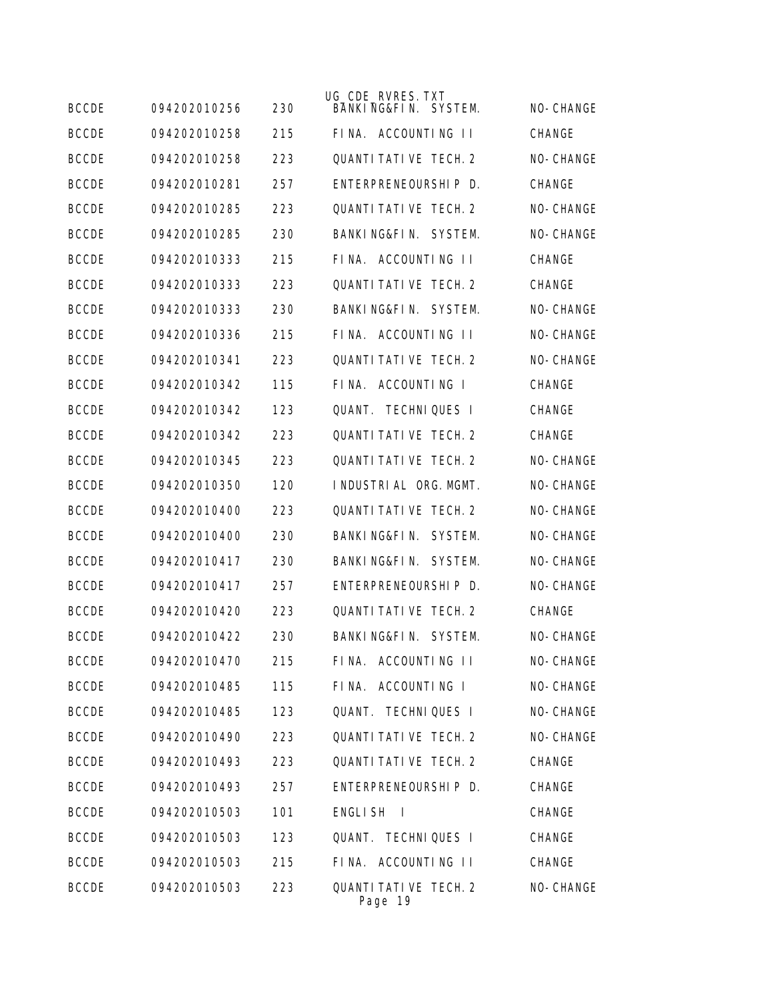| <b>BCCDE</b> | 094202010256 | 230 | UG_CDE_RVRES. TXT<br>BANKING&FIN. SYSTEM. | NO-CHANGE     |
|--------------|--------------|-----|-------------------------------------------|---------------|
| <b>BCCDE</b> | 094202010258 | 215 | FINA. ACCOUNTING II                       | <b>CHANGE</b> |
| <b>BCCDE</b> | 094202010258 | 223 | <b>OUANTI TATI VE TECH. 2</b>             | NO-CHANGE     |
| <b>BCCDE</b> | 094202010281 | 257 | FNTFRPRFNFOURSHLP D.                      | CHANGE        |
| <b>BCCDE</b> | 094202010285 | 223 | <b>QUANTI TATI VE TECH. 2</b>             | NO-CHANGE     |
| <b>BCCDE</b> | 094202010285 | 230 | BANKING&FIN. SYSTEM.                      | NO-CHANGE     |
| <b>BCCDE</b> | 094202010333 | 215 | FINA. ACCOUNTING II                       | CHANGE        |
| <b>BCCDE</b> | 094202010333 | 223 | <b>QUANTI TATI VE TECH. 2</b>             | <b>CHANGE</b> |
| <b>BCCDE</b> | 094202010333 | 230 | BANKING&FIN. SYSTEM.                      | NO-CHANGE     |
| <b>BCCDE</b> | 094202010336 | 215 | FINA. ACCOUNTING II                       | NO-CHANGE     |
| <b>BCCDE</b> | 094202010341 | 223 | <b>QUANTI TATI VE TECH. 2</b>             | NO-CHANGE     |
| <b>BCCDE</b> | 094202010342 | 115 | ACCOUNTING I<br>FINA.                     | CHANGE        |
| <b>BCCDE</b> | 094202010342 | 123 | OUANT.<br><b>TECHNIQUES I</b>             | CHANGE        |
| <b>BCCDE</b> | 094202010342 | 223 | <b>OUANTI TATI VE TECH. 2</b>             | CHANGE        |
| <b>BCCDE</b> | 094202010345 | 223 | <b>OUANTI TATI VE TECH. 2</b>             | NO-CHANGE     |
| <b>BCCDE</b> | 094202010350 | 120 | INDUSTRIAL ORG. MGMT.                     | NO-CHANGE     |
| <b>BCCDE</b> | 094202010400 | 223 | <b>QUANTI TATI VE TECH. 2</b>             | NO-CHANGE     |
| <b>BCCDE</b> | 094202010400 | 230 | BANKING&FIN.<br>SYSTEM.                   | NO-CHANGE     |
| <b>BCCDE</b> | 094202010417 | 230 | BANKI NG&FI N.<br>SYSTEM.                 | NO-CHANGE     |
| <b>BCCDE</b> | 094202010417 | 257 | ENTERPRENEOURSHIP D.                      | NO-CHANGE     |
| <b>BCCDE</b> | 094202010420 | 223 | <b>OUANTI TATI VE TECH. 2</b>             | <b>CHANGE</b> |
| <b>BCCDE</b> | 094202010422 | 230 | BANKING&FIN. SYSTEM.                      | NO-CHANGE     |
| <b>BCCDE</b> | 094202010470 | 215 | FINA. ACCOUNTING II                       | NO-CHANGE     |
| <b>BCCDE</b> | 094202010485 | 115 | FINA. ACCOUNTING I                        | NO-CHANGE     |
| <b>BCCDE</b> | 094202010485 | 123 | QUANT. TECHNIQUES I                       | NO-CHANGE     |
| <b>BCCDE</b> | 094202010490 | 223 | QUANTI TATI VE TECH. 2                    | NO-CHANGE     |
| <b>BCCDE</b> | 094202010493 | 223 | QUANTI TATI VE TECH. 2                    | CHANGE        |
| <b>BCCDE</b> | 094202010493 | 257 | ENTERPRENEOURSHIP D.                      | CHANGE        |
| <b>BCCDE</b> | 094202010503 | 101 | <b>ENGLISH</b><br>$\perp$                 | CHANGE        |
| <b>BCCDE</b> | 094202010503 | 123 | QUANT. TECHNIQUES I                       | CHANGE        |
| <b>BCCDE</b> | 094202010503 | 215 | FINA. ACCOUNTING II                       | CHANGE        |
| <b>BCCDE</b> | 094202010503 | 223 | QUANTI TATI VE TECH. 2<br>Page 19         | NO-CHANGE     |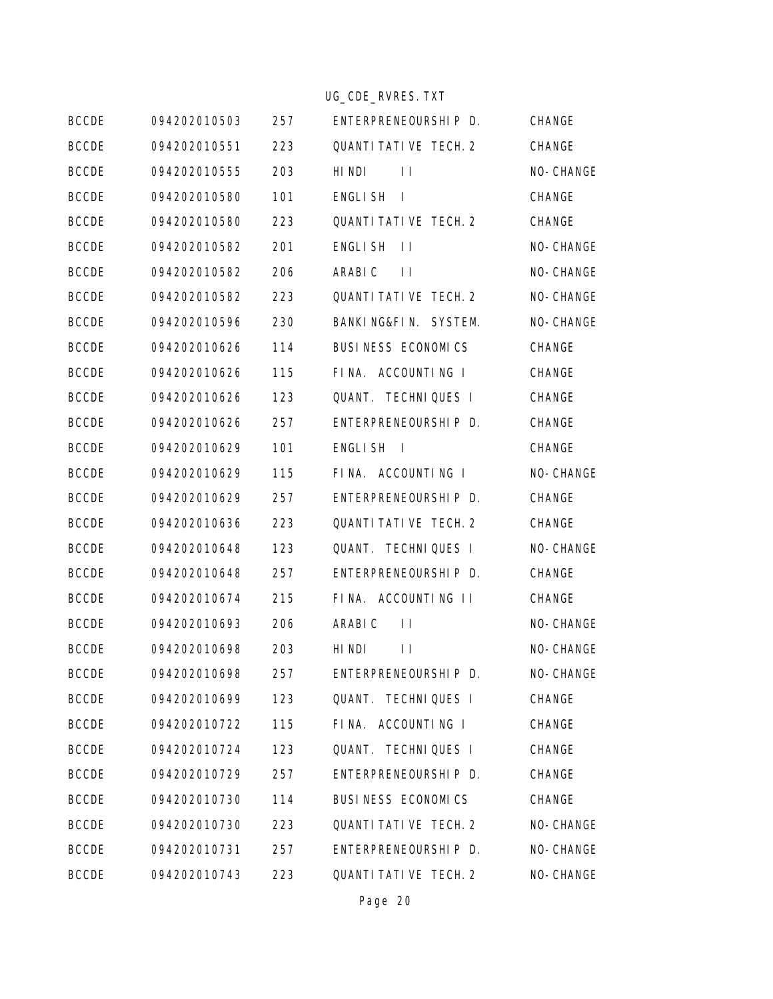|              |              |     | UG_CDE_RVRES. TXT                 |           |
|--------------|--------------|-----|-----------------------------------|-----------|
| <b>BCCDE</b> | 094202010503 | 257 | ENTERPRENEOURSHIP D.              | CHANGE    |
| <b>BCCDE</b> | 094202010551 | 223 | QUANTI TATI VE TECH. 2            | CHANGE    |
| <b>BCCDE</b> | 094202010555 | 203 | HI NDI<br>$\mathbf{H}$            | NO-CHANGE |
| <b>BCCDE</b> | 094202010580 | 101 | ENGLI SH<br>$\perp$               | CHANGE    |
| <b>BCCDE</b> | 094202010580 | 223 | <b>QUANTI TATI VE TECH. 2</b>     | CHANGE    |
| <b>BCCDE</b> | 094202010582 | 201 | ENGLI SH<br>$\perp$               | NO-CHANGE |
| <b>BCCDE</b> | 094202010582 | 206 | ARABI C<br>$\perp$                | NO-CHANGE |
| <b>BCCDE</b> | 094202010582 | 223 | QUANTI TATI VE TECH. 2            | NO-CHANGE |
| <b>BCCDE</b> | 094202010596 | 230 | BANKING&FIN. SYSTEM.              | NO-CHANGE |
| <b>BCCDE</b> | 094202010626 | 114 | BUSINESS ECONOMICS                | CHANGE    |
| <b>BCCDE</b> | 094202010626 | 115 | FINA. ACCOUNTING I                | CHANGE    |
| <b>BCCDE</b> | 094202010626 | 123 | QUANT. TECHNIQUES I               | CHANGE    |
| <b>BCCDE</b> | 094202010626 | 257 | ENTERPRENEOURSHIP D.              | CHANGE    |
| <b>BCCDE</b> | 094202010629 | 101 | ENGLISH <sub>I</sub>              | CHANGE    |
| <b>BCCDE</b> | 094202010629 | 115 | FINA. ACCOUNTING I                | NO-CHANGE |
| <b>BCCDE</b> | 094202010629 | 257 | ENTERPRENEOURSHIP D.              | CHANGE    |
| <b>BCCDE</b> | 094202010636 | 223 | QUANTI TATI VE TECH. 2            | CHANGE    |
| <b>BCCDE</b> | 094202010648 | 123 | QUANT. TECHNIQUES I               | NO-CHANGE |
| <b>BCCDE</b> | 094202010648 | 257 | ENTERPRENEOURSHIP D.              | CHANGE    |
| <b>BCCDE</b> | 094202010674 | 215 | FINA. ACCOUNTING II               | CHANGE    |
| <b>BCCDE</b> | 094202010693 | 206 | ARABI C<br>$\perp$                | NO-CHANGE |
| <b>BCCDE</b> | 094202010698 | 203 | HI <sub>NDI</sub><br>$\mathbf{H}$ | NO-CHANGE |
| <b>BCCDE</b> | 094202010698 | 257 | ENTERPRENEOURSHIP D.              | NO-CHANGE |
| <b>BCCDE</b> | 094202010699 | 123 | QUANT. TECHNIQUES I               | CHANGE    |
| <b>BCCDE</b> | 094202010722 | 115 | FINA. ACCOUNTING I                | CHANGE    |
| <b>BCCDE</b> | 094202010724 | 123 | QUANT. TECHNIQUES I               | CHANGE    |
| <b>BCCDE</b> | 094202010729 | 257 | ENTERPRENEOURSHIP D.              | CHANGE    |
| <b>BCCDE</b> | 094202010730 | 114 | BUSINESS ECONOMICS                | CHANGE    |
| <b>BCCDE</b> | 094202010730 | 223 | QUANTI TATI VE TECH. 2            | NO-CHANGE |
| <b>BCCDE</b> | 094202010731 | 257 | ENTERPRENEOURSHIP D.              | NO-CHANGE |
| <b>BCCDE</b> | 094202010743 | 223 | QUANTI TATI VE TECH. 2            | NO-CHANGE |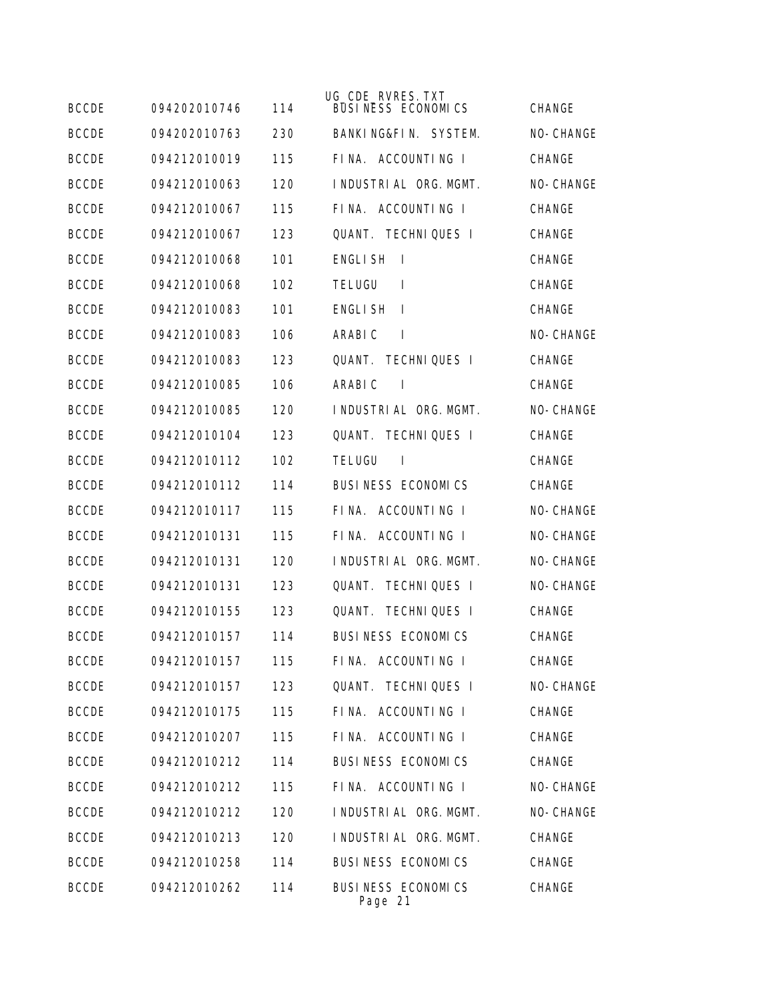| <b>BCCDE</b> | 094202010746 | 114 | UG_CDE_RVRES. TXT<br><b>BUSINESS ECONOMICS</b> | <b>CHANGE</b> |
|--------------|--------------|-----|------------------------------------------------|---------------|
| <b>BCCDE</b> | 094202010763 | 230 | BANKING&FIN. SYSTEM.                           | NO-CHANGE     |
| <b>BCCDE</b> | 094212010019 | 115 | FINA. ACCOUNTING I                             | CHANGE        |
| <b>BCCDE</b> | 094212010063 | 120 | INDUSTRIAL ORG. MGMT.                          | NO-CHANGE     |
| <b>BCCDE</b> | 094212010067 | 115 | FINA. ACCOUNTING I                             | <b>CHANGE</b> |
| <b>BCCDE</b> | 094212010067 | 123 | <b>QUANT. TECHNIQUES I</b>                     | CHANGE        |
| <b>BCCDE</b> | 094212010068 | 101 | <b>ENGLISH</b><br>$\mathbf{I}$                 | CHANGE        |
| <b>BCCDE</b> | 094212010068 | 102 | <b>TELUGU</b><br>$\mathbf{I}$                  | CHANGE        |
| <b>BCCDE</b> | 094212010083 | 101 | <b>ENGLISH</b><br>$\mathbf{I}$                 | CHANGE        |
| <b>BCCDE</b> | 094212010083 | 106 | ARABI C<br>$\mathbf{I}$                        | NO-CHANGE     |
| <b>BCCDE</b> | 094212010083 | 123 | QUANT.<br><b>TECHNIQUES I</b>                  | CHANGE        |
| <b>BCCDE</b> | 094212010085 | 106 | ARABI C<br>$\overline{1}$                      | CHANGE        |
| <b>BCCDE</b> | 094212010085 | 120 | INDUSTRIAL ORG. MGMT.                          | NO-CHANGE     |
| <b>BCCDE</b> | 094212010104 | 123 | QUANT. TECHNIQUES I                            | <b>CHANGE</b> |
| <b>BCCDE</b> | 094212010112 | 102 | <b>TELUGU</b><br>$\overline{1}$                | CHANGE        |
| <b>BCCDE</b> | 094212010112 | 114 | BUSINESS ECONOMICS                             | CHANGE        |
| <b>BCCDE</b> | 094212010117 | 115 | FINA. ACCOUNTING I                             | NO-CHANGE     |
| <b>BCCDE</b> | 094212010131 | 115 | ACCOUNTING I<br>FINA.                          | NO-CHANGE     |
| <b>BCCDE</b> | 094212010131 | 120 | I NDUSTRI AL ORG. MGMT.                        | NO-CHANGE     |
| <b>BCCDE</b> | 094212010131 | 123 | QUANT.<br><b>TECHNIQUES I</b>                  | NO-CHANGE     |
| <b>BCCDE</b> | 094212010155 | 123 | <b>TECHNIQUES I</b><br>QUANT.                  | CHANGE        |
| <b>BCCDE</b> | 094212010157 | 114 | <b>BUSINESS ECONOMICS</b>                      | CHANGE        |
| <b>BCCDE</b> | 094212010157 | 115 | FINA. ACCOUNTING I                             | CHANGE        |
| <b>BCCDE</b> | 094212010157 | 123 | QUANT. TECHNIQUES I                            | NO-CHANGE     |
| <b>BCCDE</b> | 094212010175 | 115 | FINA. ACCOUNTING I                             | CHANGE        |
| <b>BCCDE</b> | 094212010207 | 115 | FINA. ACCOUNTING I                             | CHANGE        |
| <b>BCCDE</b> | 094212010212 | 114 | BUSINESS ECONOMICS                             | CHANGE        |
| <b>BCCDE</b> | 094212010212 | 115 | FINA. ACCOUNTING I                             | NO-CHANGE     |
| <b>BCCDE</b> | 094212010212 | 120 | I NDUSTRI AL ORG. MGMT.                        | NO-CHANGE     |
| <b>BCCDE</b> | 094212010213 | 120 | I NDUSTRI AL ORG. MGMT.                        | CHANGE        |
| <b>BCCDE</b> | 094212010258 | 114 | BUSINESS ECONOMICS                             | CHANGE        |
| <b>BCCDE</b> | 094212010262 | 114 | BUSINESS ECONOMICS<br>Page 21                  | CHANGE        |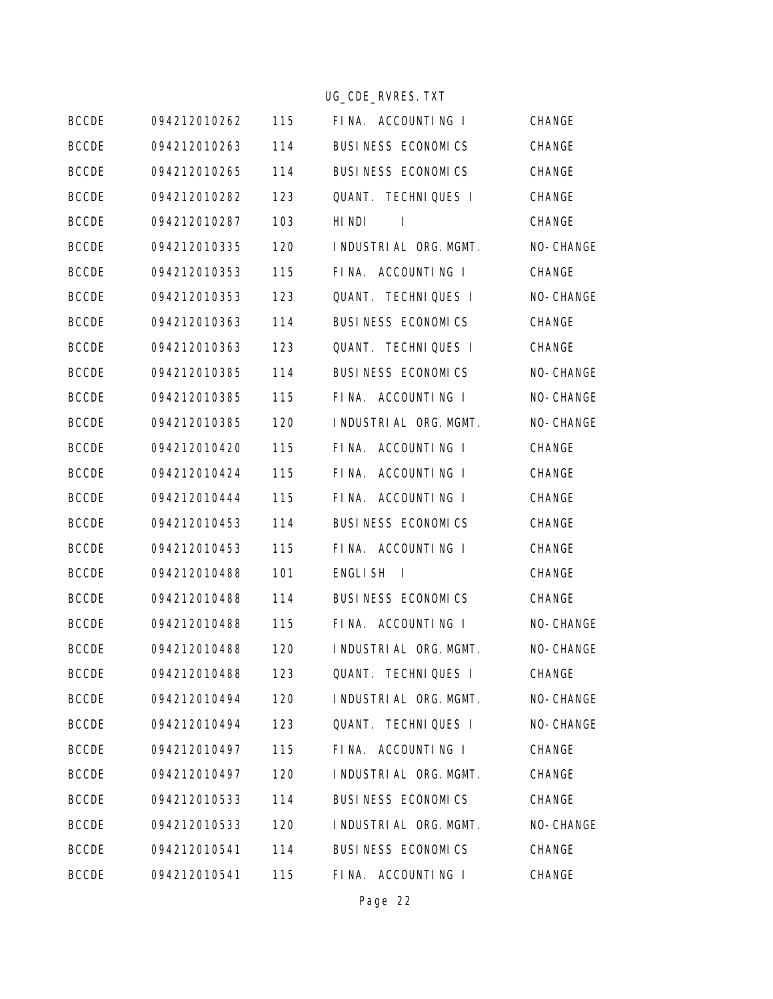|              |              |     | UG_CDE_RVRES. TXT                |           |
|--------------|--------------|-----|----------------------------------|-----------|
| <b>BCCDE</b> | 094212010262 | 115 | FINA. ACCOUNTING I               | CHANGE    |
| <b>BCCDE</b> | 094212010263 | 114 | BUSINESS ECONOMICS               | CHANGE    |
| <b>BCCDE</b> | 094212010265 | 114 | BUSINESS ECONOMICS               | CHANGE    |
| <b>BCCDE</b> | 094212010282 | 123 | QUANT. TECHNIQUES I              | CHANGE    |
| <b>BCCDE</b> | 094212010287 | 103 | HI NDI<br>-1                     | CHANGE    |
| <b>BCCDE</b> | 094212010335 | 120 | I NDUSTRI AL ORG. MGMT.          | NO-CHANGE |
| <b>BCCDE</b> | 094212010353 | 115 | FINA. ACCOUNTING I               | CHANGE    |
| <b>BCCDE</b> | 094212010353 | 123 | QUANT. TECHNIQUES I              | NO-CHANGE |
| <b>BCCDE</b> | 094212010363 | 114 | BUSINESS ECONOMICS               | CHANGE    |
| <b>BCCDE</b> | 094212010363 | 123 | QUANT. TECHNIQUES I              | CHANGE    |
| <b>BCCDE</b> | 094212010385 | 114 | BUSINESS ECONOMICS               | NO-CHANGE |
| <b>BCCDE</b> | 094212010385 | 115 | FINA. ACCOUNTING I               | NO-CHANGE |
| <b>BCCDE</b> | 094212010385 | 120 | I NDUSTRI AL ORG. MGMT.          | NO-CHANGE |
| <b>BCCDE</b> | 094212010420 | 115 | FINA. ACCOUNTING I               | CHANGE    |
| <b>BCCDE</b> | 094212010424 | 115 | FINA. ACCOUNTING I               | CHANGE    |
| <b>BCCDE</b> | 094212010444 | 115 | FINA. ACCOUNTING I               | CHANGE    |
| <b>BCCDE</b> | 094212010453 | 114 | BUSINESS ECONOMICS               | CHANGE    |
| <b>BCCDE</b> | 094212010453 | 115 | FINA. ACCOUNTING I               | CHANGE    |
| <b>BCCDE</b> | 094212010488 | 101 | <b>ENGLISH</b><br>$\blacksquare$ | CHANGE    |
| <b>BCCDE</b> | 094212010488 | 114 | BUSINESS ECONOMICS               | CHANGE    |
| <b>BCCDE</b> | 094212010488 | 115 | FINA. ACCOUNTING I               | NO-CHANGE |
| <b>BCCDE</b> | 094212010488 | 120 | I NDUSTRI AL ORG. MGMT.          | NO-CHANGE |
| <b>BCCDE</b> | 094212010488 | 123 | QUANT. TECHNIQUES I              | CHANGE    |
| <b>BCCDE</b> | 094212010494 | 120 | INDUSTRIAL ORG. MGMT.            | NO-CHANGE |
| <b>BCCDE</b> | 094212010494 | 123 | QUANT. TECHNIQUES I              | NO-CHANGE |
| <b>BCCDE</b> | 094212010497 | 115 | FINA. ACCOUNTING I               | CHANGE    |
| <b>BCCDE</b> | 094212010497 | 120 | I NDUSTRI AL ORG. MGMT.          | CHANGE    |
| <b>BCCDE</b> | 094212010533 | 114 | BUSINESS ECONOMICS               | CHANGE    |
| <b>BCCDE</b> | 094212010533 | 120 | I NDUSTRI AL ORG. MGMT.          | NO-CHANGE |
| <b>BCCDE</b> | 094212010541 | 114 | BUSINESS ECONOMICS               | CHANGE    |
| <b>BCCDE</b> | 094212010541 | 115 | FINA. ACCOUNTING I               | CHANGE    |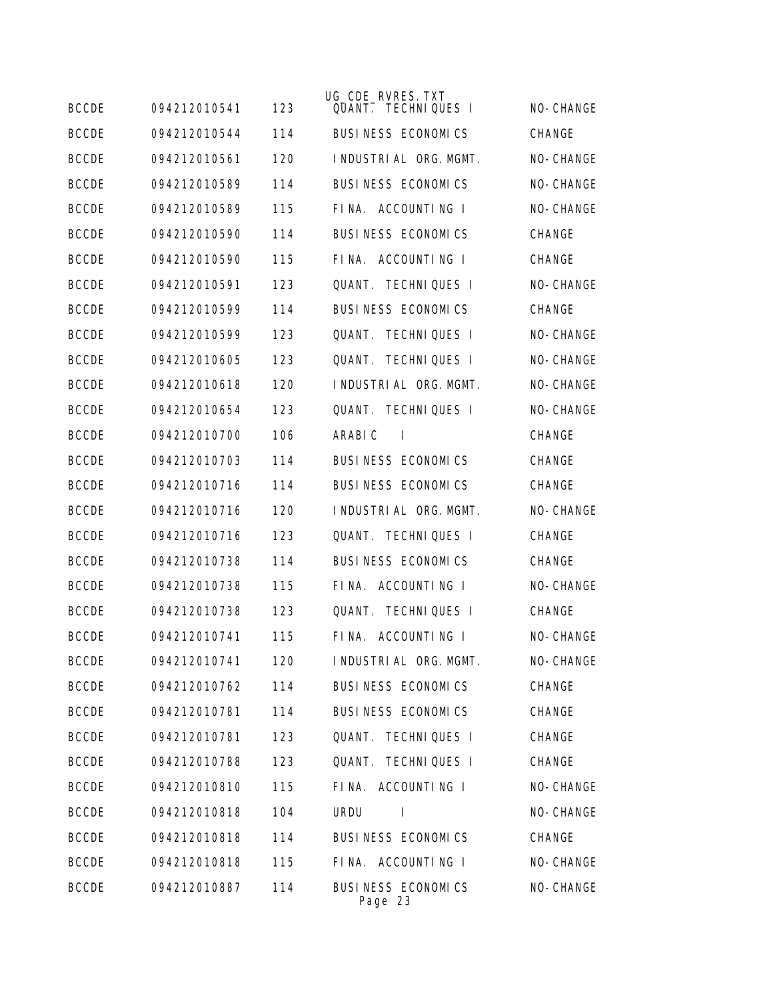| <b>BCCDE</b> | 094212010541 | 123 | UG_CDE_RVRES. TXT<br>QUANT. TECHNIQUES I | NO-CHANGE     |
|--------------|--------------|-----|------------------------------------------|---------------|
| <b>BCCDE</b> | 094212010544 | 114 | BUSINESS ECONOMICS                       | <b>CHANGE</b> |
| <b>BCCDE</b> | 094212010561 | 120 | I NDUSTRI AL ORG. MGMT.                  | NO-CHANGE     |
| <b>BCCDE</b> | 094212010589 | 114 | <b>BUSINESS ECONOMICS</b>                | NO-CHANGE     |
| <b>BCCDE</b> | 094212010589 | 115 | FINA. ACCOUNTING I                       | NO-CHANGE     |
| <b>BCCDE</b> | 094212010590 | 114 | BUSINESS ECONOMICS                       | CHANGE        |
| <b>BCCDE</b> | 094212010590 | 115 | FINA. ACCOUNTING I                       | CHANGE        |
| <b>BCCDE</b> | 094212010591 | 123 | <b>QUANT. TECHNIQUES I</b>               | NO-CHANGE     |
| <b>BCCDE</b> | 094212010599 | 114 | <b>BUSINESS ECONOMICS</b>                | <b>CHANGE</b> |
| <b>BCCDE</b> | 094212010599 | 123 | OUANT.<br><b>TECHNIQUES I</b>            | NO-CHANGE     |
| <b>BCCDE</b> | 094212010605 | 123 | <b>TECHNIQUES I</b><br>OUANT.            | NO-CHANGE     |
| <b>BCCDE</b> | 094212010618 | 120 | I NDUSTRI AL ORG. MGMT.                  | NO-CHANGE     |
| <b>BCCDE</b> | 094212010654 | 123 | <b>QUANT. TECHNIQUES I</b>               | NO-CHANGE     |
| <b>BCCDE</b> | 094212010700 | 106 | ARABI C<br><b>I</b>                      | CHANGE        |
| <b>BCCDE</b> | 094212010703 | 114 | BUSINESS ECONOMICS                       | CHANGE        |
| <b>BCCDE</b> | 094212010716 | 114 | BUSINESS ECONOMICS                       | CHANGE        |
| <b>BCCDE</b> | 094212010716 | 120 | I NDUSTRI AL ORG. MGMT.                  | NO-CHANGE     |
| <b>BCCDE</b> | 094212010716 | 123 | <b>TECHNIQUES I</b><br>QUANT.            | CHANGE        |
| <b>BCCDE</b> | 094212010738 | 114 | BUSINESS ECONOMICS                       | <b>CHANGE</b> |
| <b>BCCDE</b> | 094212010738 | 115 | FINA. ACCOUNTING I                       | NO-CHANGE     |
| <b>BCCDE</b> | 094212010738 | 123 | <b>TECHNIQUES I</b><br>QUANT.            | <b>CHANGE</b> |
| <b>BCCDE</b> | 094212010741 | 115 | FINA. ACCOUNTING I                       | NO-CHANGE     |
| <b>BCCDE</b> | 094212010741 | 120 | I NDUSTRI AL ORG. MGMT.                  | NO-CHANGE     |
| <b>BCCDE</b> | 094212010762 | 114 | BUSINESS ECONOMICS                       | CHANGE        |
| <b>BCCDE</b> | 094212010781 | 114 | BUSINESS ECONOMICS                       | CHANGE        |
| <b>BCCDE</b> | 094212010781 | 123 | <b>TECHNIQUES I</b><br>QUANT.            | <b>CHANGE</b> |
| <b>BCCDE</b> | 094212010788 | 123 | QUANT. TECHNIQUES I                      | CHANGE        |
| <b>BCCDE</b> | 094212010810 | 115 | FINA. ACCOUNTING I                       | NO-CHANGE     |
| <b>BCCDE</b> | 094212010818 | 104 | <b>URDU</b><br>$\mathsf{l}$              | NO-CHANGE     |
| <b>BCCDE</b> | 094212010818 | 114 | BUSINESS ECONOMICS                       | CHANGE        |
| <b>BCCDE</b> | 094212010818 | 115 | FINA. ACCOUNTING I                       | NO-CHANGE     |
| <b>BCCDE</b> | 094212010887 | 114 | BUSINESS ECONOMICS<br>Page 23            | NO-CHANGE     |